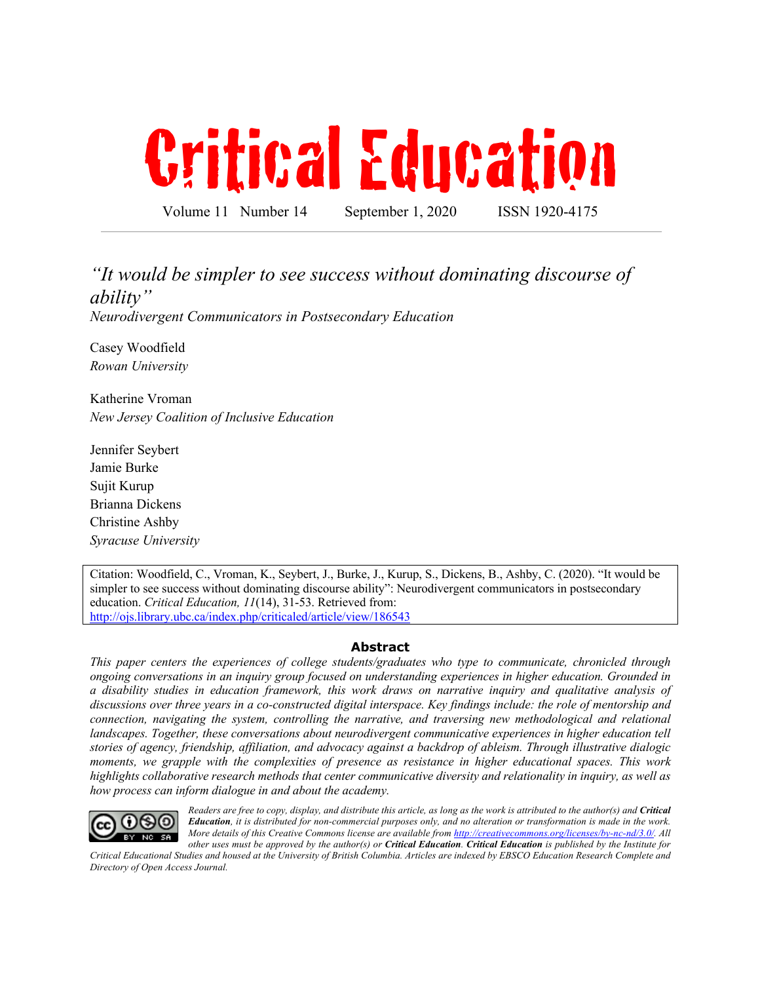# Critical Education

Volume 11 Number 14 September 1, 2020 ISSN 1920-4175

### *"It would be simpler to see success without dominating discourse of ability"*

*Neurodivergent Communicators in Postsecondary Education*

Casey Woodfield *Rowan University*

Katherine Vroman *New Jersey Coalition of Inclusive Education*

Jennifer Seybert Jamie Burke Sujit Kurup Brianna Dickens Christine Ashby *Syracuse University*

Citation: Woodfield, C., Vroman, K., Seybert, J., Burke, J., Kurup, S., Dickens, B., Ashby, C. (2020). "It would be simpler to see success without dominating discourse ability": Neurodivergent communicators in postsecondary education. *Critical Education, 11*(14), 31-53. Retrieved from: http://ojs.library.ubc.ca/index.php/criticaled/article/view/186543

#### **Abstract**

*This paper centers the experiences of college students/graduates who type to communicate, chronicled through ongoing conversations in an inquiry group focused on understanding experiences in higher education. Grounded in a disability studies in education framework, this work draws on narrative inquiry and qualitative analysis of discussions over three years in a co-constructed digital interspace. Key findings include: the role of mentorship and connection, navigating the system, controlling the narrative, and traversing new methodological and relational landscapes. Together, these conversations about neurodivergent communicative experiences in higher education tell stories of agency, friendship, affiliation, and advocacy against a backdrop of ableism. Through illustrative dialogic moments, we grapple with the complexities of presence as resistance in higher educational spaces. This work highlights collaborative research methods that center communicative diversity and relationality in inquiry, as well as how process can inform dialogue in and about the academy.*



*Readers are free to copy, display, and distribute this article, as long as the work is attributed to the author(s) and Critical Education, it is distributed for non-commercial purposes only, and no alteration or transformation is made in the work. More details of this Creative Commons license are available from http://creativecommons.org/licenses/by-nc-nd/3.0/. All other uses must be approved by the author(s) or Critical Education. Critical Education is published by the Institute for* 

*Critical Educational Studies and housed at the University of British Columbia. Articles are indexed by EBSCO Education Research Complete and Directory of Open Access Journal.*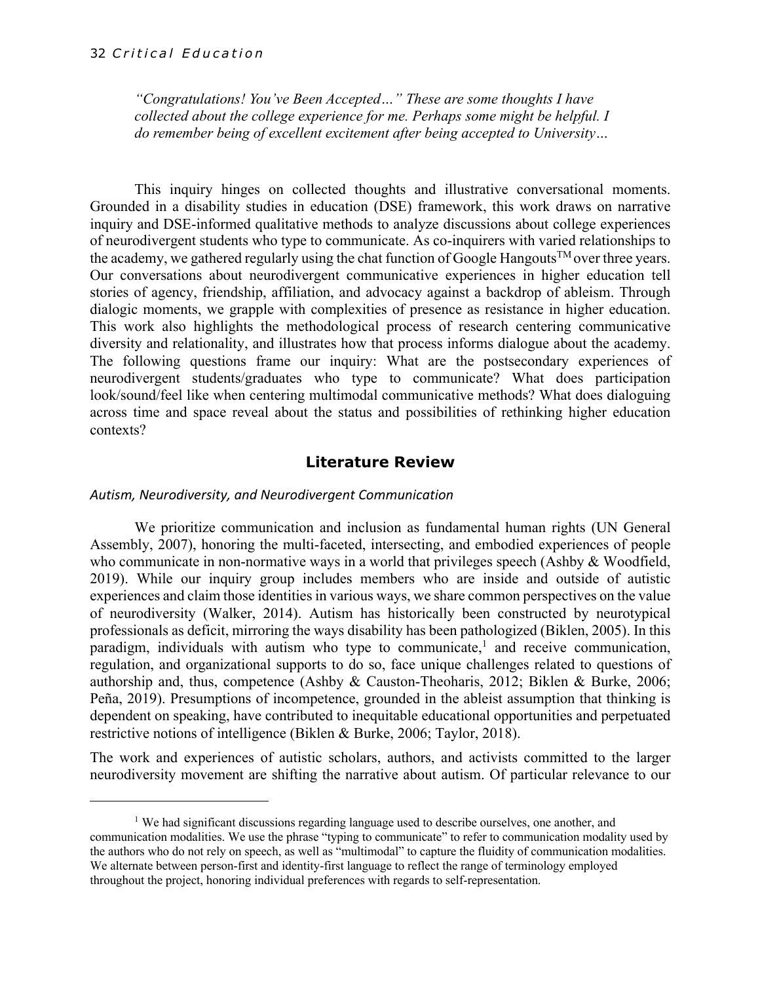*"Congratulations! You've Been Accepted…" These are some thoughts I have collected about the college experience for me. Perhaps some might be helpful. I do remember being of excellent excitement after being accepted to University…*

This inquiry hinges on collected thoughts and illustrative conversational moments. Grounded in a disability studies in education (DSE) framework, this work draws on narrative inquiry and DSE-informed qualitative methods to analyze discussions about college experiences of neurodivergent students who type to communicate. As co-inquirers with varied relationships to the academy, we gathered regularly using the chat function of Google Hangouts<sup>TM</sup> over three years. Our conversations about neurodivergent communicative experiences in higher education tell stories of agency, friendship, affiliation, and advocacy against a backdrop of ableism. Through dialogic moments, we grapple with complexities of presence as resistance in higher education. This work also highlights the methodological process of research centering communicative diversity and relationality, and illustrates how that process informs dialogue about the academy. The following questions frame our inquiry: What are the postsecondary experiences of neurodivergent students/graduates who type to communicate? What does participation look/sound/feel like when centering multimodal communicative methods? What does dialoguing across time and space reveal about the status and possibilities of rethinking higher education contexts?

#### **Literature Review**

#### *Autism, Neurodiversity, and Neurodivergent Communication*

We prioritize communication and inclusion as fundamental human rights (UN General Assembly, 2007), honoring the multi-faceted, intersecting, and embodied experiences of people who communicate in non-normative ways in a world that privileges speech (Ashby & Woodfield, 2019). While our inquiry group includes members who are inside and outside of autistic experiences and claim those identities in various ways, we share common perspectives on the value of neurodiversity (Walker, 2014). Autism has historically been constructed by neurotypical professionals as deficit, mirroring the ways disability has been pathologized (Biklen, 2005). In this paradigm, individuals with autism who type to communicate,<sup>1</sup> and receive communication, regulation, and organizational supports to do so, face unique challenges related to questions of authorship and, thus, competence (Ashby & Causton-Theoharis, 2012; Biklen & Burke, 2006; Peña, 2019). Presumptions of incompetence, grounded in the ableist assumption that thinking is dependent on speaking, have contributed to inequitable educational opportunities and perpetuated restrictive notions of intelligence (Biklen & Burke, 2006; Taylor, 2018).

The work and experiences of autistic scholars, authors, and activists committed to the larger neurodiversity movement are shifting the narrative about autism. Of particular relevance to our

<sup>&</sup>lt;sup> $1$ </sup> We had significant discussions regarding language used to describe ourselves, one another, and communication modalities. We use the phrase "typing to communicate" to refer to communication modality used by the authors who do not rely on speech, as well as "multimodal" to capture the fluidity of communication modalities. We alternate between person-first and identity-first language to reflect the range of terminology employed throughout the project, honoring individual preferences with regards to self-representation.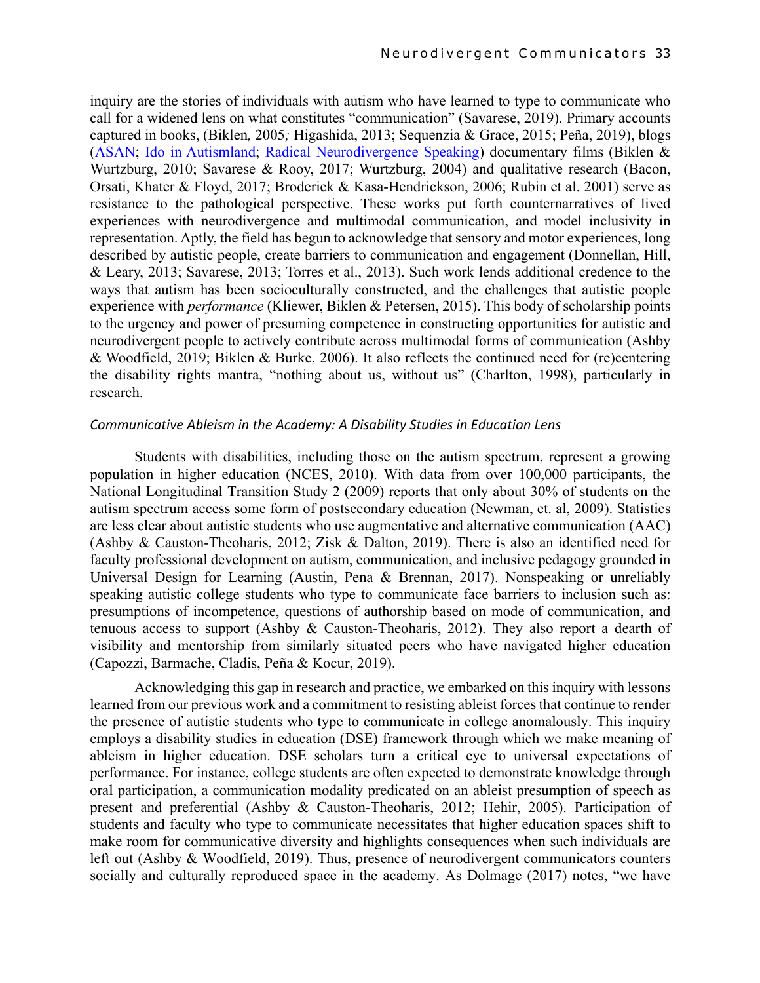inquiry are the stories of individuals with autism who have learned to type to communicate who call for a widened lens on what constitutes "communication" (Savarese, 2019). Primary accounts captured in books, (Biklen*,* 2005*;* Higashida, 2013; Sequenzia & Grace, 2015; Peña, 2019), blogs (ASAN; Ido in Autismland; Radical Neurodivergence Speaking) documentary films (Biklen & Wurtzburg, 2010; Savarese & Rooy, 2017; Wurtzburg, 2004) and qualitative research (Bacon, Orsati, Khater & Floyd, 2017; Broderick & Kasa-Hendrickson, 2006; Rubin et al. 2001) serve as resistance to the pathological perspective. These works put forth counternarratives of lived experiences with neurodivergence and multimodal communication, and model inclusivity in representation. Aptly, the field has begun to acknowledge that sensory and motor experiences, long described by autistic people, create barriers to communication and engagement (Donnellan, Hill, & Leary, 2013; Savarese, 2013; Torres et al., 2013). Such work lends additional credence to the ways that autism has been socioculturally constructed, and the challenges that autistic people experience with *performance* (Kliewer, Biklen & Petersen, 2015). This body of scholarship points to the urgency and power of presuming competence in constructing opportunities for autistic and neurodivergent people to actively contribute across multimodal forms of communication (Ashby & Woodfield, 2019; Biklen & Burke, 2006). It also reflects the continued need for (re)centering the disability rights mantra, "nothing about us, without us" (Charlton, 1998), particularly in research.

#### *Communicative Ableism in the Academy: A Disability Studies in Education Lens*

Students with disabilities, including those on the autism spectrum, represent a growing population in higher education (NCES, 2010). With data from over 100,000 participants, the National Longitudinal Transition Study 2 (2009) reports that only about 30% of students on the autism spectrum access some form of postsecondary education (Newman, et. al, 2009). Statistics are less clear about autistic students who use augmentative and alternative communication (AAC) (Ashby & Causton-Theoharis, 2012; Zisk & Dalton, 2019). There is also an identified need for faculty professional development on autism, communication, and inclusive pedagogy grounded in Universal Design for Learning (Austin, Pena & Brennan, 2017). Nonspeaking or unreliably speaking autistic college students who type to communicate face barriers to inclusion such as: presumptions of incompetence, questions of authorship based on mode of communication, and tenuous access to support (Ashby & Causton-Theoharis, 2012). They also report a dearth of visibility and mentorship from similarly situated peers who have navigated higher education (Capozzi, Barmache, Cladis, Peña & Kocur, 2019).

Acknowledging this gap in research and practice, we embarked on this inquiry with lessons learned from our previous work and a commitment to resisting ableist forces that continue to render the presence of autistic students who type to communicate in college anomalously. This inquiry employs a disability studies in education (DSE) framework through which we make meaning of ableism in higher education. DSE scholars turn a critical eye to universal expectations of performance. For instance, college students are often expected to demonstrate knowledge through oral participation, a communication modality predicated on an ableist presumption of speech as present and preferential (Ashby & Causton-Theoharis, 2012; Hehir, 2005). Participation of students and faculty who type to communicate necessitates that higher education spaces shift to make room for communicative diversity and highlights consequences when such individuals are left out (Ashby & Woodfield, 2019). Thus, presence of neurodivergent communicators counters socially and culturally reproduced space in the academy. As Dolmage (2017) notes, "we have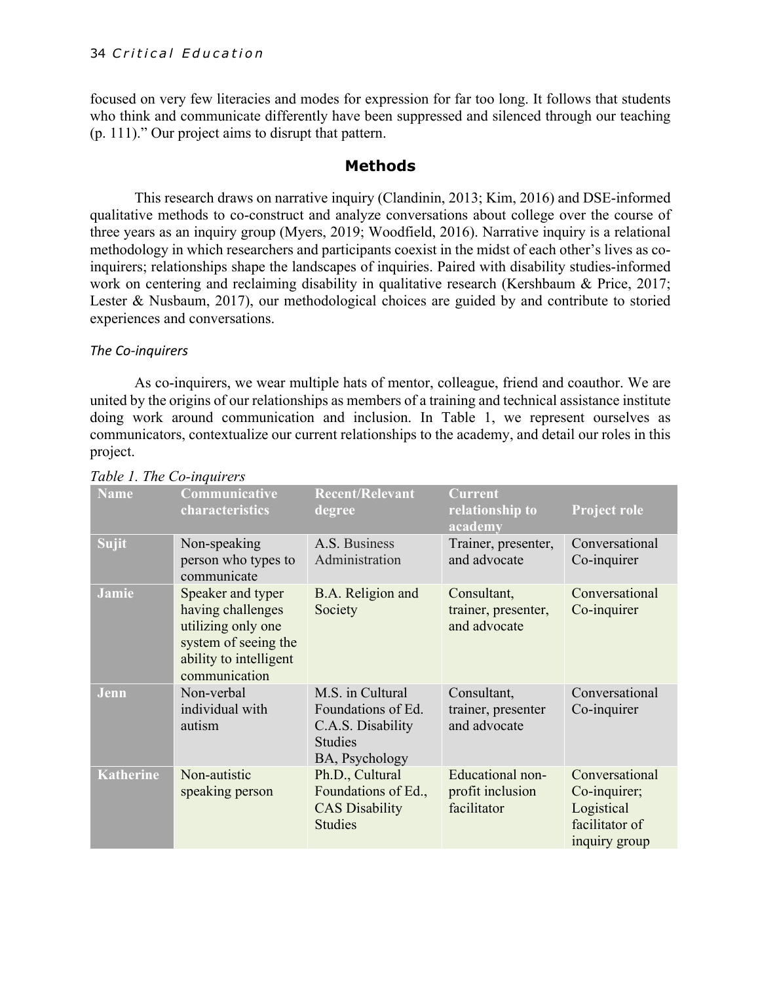focused on very few literacies and modes for expression for far too long. It follows that students who think and communicate differently have been suppressed and silenced through our teaching (p. 111)." Our project aims to disrupt that pattern.

#### **Methods**

This research draws on narrative inquiry (Clandinin, 2013; Kim, 2016) and DSE-informed qualitative methods to co-construct and analyze conversations about college over the course of three years as an inquiry group (Myers, 2019; Woodfield, 2016). Narrative inquiry is a relational methodology in which researchers and participants coexist in the midst of each other's lives as coinquirers; relationships shape the landscapes of inquiries. Paired with disability studies-informed work on centering and reclaiming disability in qualitative research (Kershbaum & Price, 2017; Lester & Nusbaum, 2017), our methodological choices are guided by and contribute to storied experiences and conversations.

#### *The Co-inquirers*

As co-inquirers, we wear multiple hats of mentor, colleague, friend and coauthor. We are united by the origins of our relationships as members of a training and technical assistance institute doing work around communication and inclusion. In Table 1, we represent ourselves as communicators, contextualize our current relationships to the academy, and detail our roles in this project.

| raole 1. The Co mgan cro |                                                                                                                                 |                                                                                                 |                                                     |                                                                                 |
|--------------------------|---------------------------------------------------------------------------------------------------------------------------------|-------------------------------------------------------------------------------------------------|-----------------------------------------------------|---------------------------------------------------------------------------------|
| <b>Name</b>              | Communicative<br>characteristics                                                                                                | <b>Recent/Relevant</b><br>degree                                                                | <b>Current</b><br>relationship to<br>academy        | <b>Project role</b>                                                             |
| <b>Sujit</b>             | Non-speaking<br>person who types to<br>communicate                                                                              | A.S. Business<br>Administration                                                                 | Trainer, presenter,<br>and advocate                 | Conversational<br>Co-inquirer                                                   |
| Jamie                    | Speaker and typer<br>having challenges<br>utilizing only one<br>system of seeing the<br>ability to intelligent<br>communication | B.A. Religion and<br>Society                                                                    | Consultant,<br>trainer, presenter,<br>and advocate  | Conversational<br>Co-inquirer                                                   |
| Jenn                     | Non-verbal<br>individual with<br>autism                                                                                         | M.S. in Cultural<br>Foundations of Ed.<br>C.A.S. Disability<br><b>Studies</b><br>BA, Psychology | Consultant,<br>trainer, presenter<br>and advocate   | Conversational<br>Co-inquirer                                                   |
| <b>Katherine</b>         | Non-autistic<br>speaking person                                                                                                 | Ph.D., Cultural<br>Foundations of Ed.,<br><b>CAS Disability</b><br><b>Studies</b>               | Educational non-<br>profit inclusion<br>facilitator | Conversational<br>Co-inquirer;<br>Logistical<br>facilitator of<br>inquiry group |

#### *Table 1. The Co-inquirers*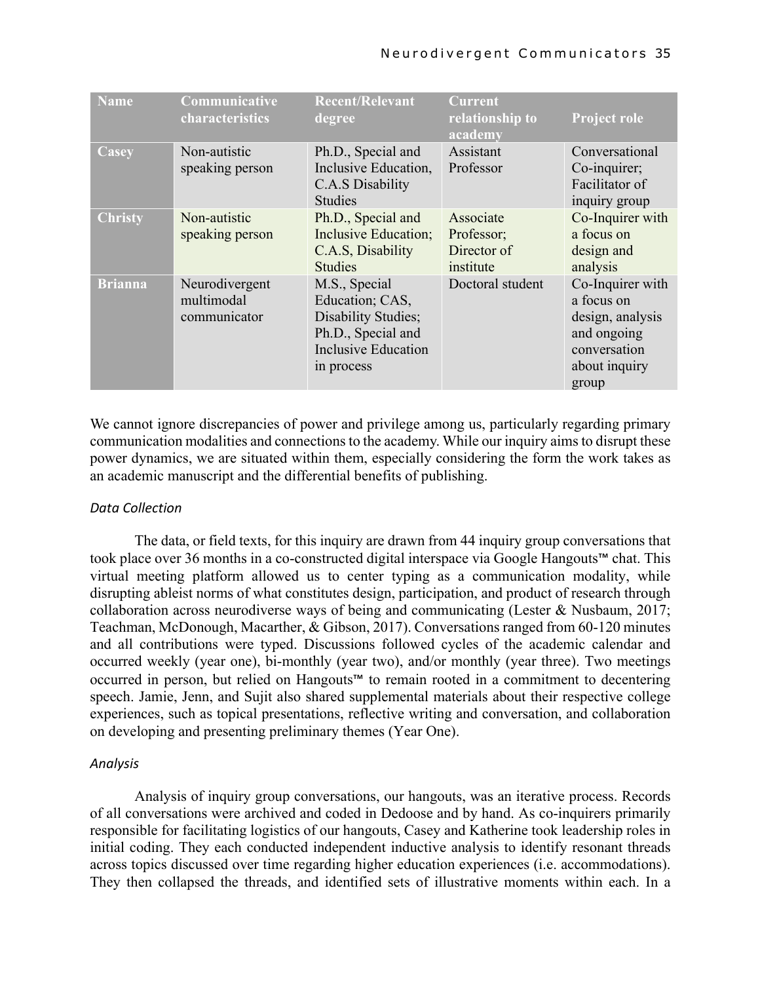| <b>Name</b>    | Communicative<br>characteristics             | <b>Recent/Relevant</b><br>degree                                                                                          | <b>Current</b><br>relationship to<br>academy        | <b>Project role</b>                                                                                         |
|----------------|----------------------------------------------|---------------------------------------------------------------------------------------------------------------------------|-----------------------------------------------------|-------------------------------------------------------------------------------------------------------------|
| Casey          | Non-autistic<br>speaking person              | Ph.D., Special and<br>Inclusive Education,<br>C.A.S Disability<br><b>Studies</b>                                          | Assistant<br>Professor                              | Conversational<br>Co-inquirer;<br>Facilitator of<br>inquiry group                                           |
| <b>Christy</b> | Non-autistic<br>speaking person              | Ph.D., Special and<br>Inclusive Education;<br>C.A.S, Disability<br><b>Studies</b>                                         | Associate<br>Professor;<br>Director of<br>institute | Co-Inquirer with<br>a focus on<br>design and<br>analysis                                                    |
| <b>Brianna</b> | Neurodivergent<br>multimodal<br>communicator | M.S., Special<br>Education; CAS,<br>Disability Studies;<br>Ph.D., Special and<br><b>Inclusive Education</b><br>in process | Doctoral student                                    | Co-Inquirer with<br>a focus on<br>design, analysis<br>and ongoing<br>conversation<br>about inquiry<br>group |

We cannot ignore discrepancies of power and privilege among us, particularly regarding primary communication modalities and connections to the academy. While our inquiry aims to disrupt these power dynamics, we are situated within them, especially considering the form the work takes as an academic manuscript and the differential benefits of publishing.

#### *Data Collection*

The data, or field texts, for this inquiry are drawn from 44 inquiry group conversations that took place over 36 months in a co-constructed digital interspace via Google Hangouts™ chat. This virtual meeting platform allowed us to center typing as a communication modality, while disrupting ableist norms of what constitutes design, participation, and product of research through collaboration across neurodiverse ways of being and communicating (Lester & Nusbaum, 2017; Teachman, McDonough, Macarther, & Gibson, 2017). Conversations ranged from 60-120 minutes and all contributions were typed. Discussions followed cycles of the academic calendar and occurred weekly (year one), bi-monthly (year two), and/or monthly (year three). Two meetings occurred in person, but relied on Hangouts™ to remain rooted in a commitment to decentering speech. Jamie, Jenn, and Sujit also shared supplemental materials about their respective college experiences, such as topical presentations, reflective writing and conversation, and collaboration on developing and presenting preliminary themes (Year One).

#### *Analysis*

Analysis of inquiry group conversations, our hangouts, was an iterative process. Records of all conversations were archived and coded in Dedoose and by hand. As co-inquirers primarily responsible for facilitating logistics of our hangouts, Casey and Katherine took leadership roles in initial coding. They each conducted independent inductive analysis to identify resonant threads across topics discussed over time regarding higher education experiences (i.e. accommodations). They then collapsed the threads, and identified sets of illustrative moments within each. In a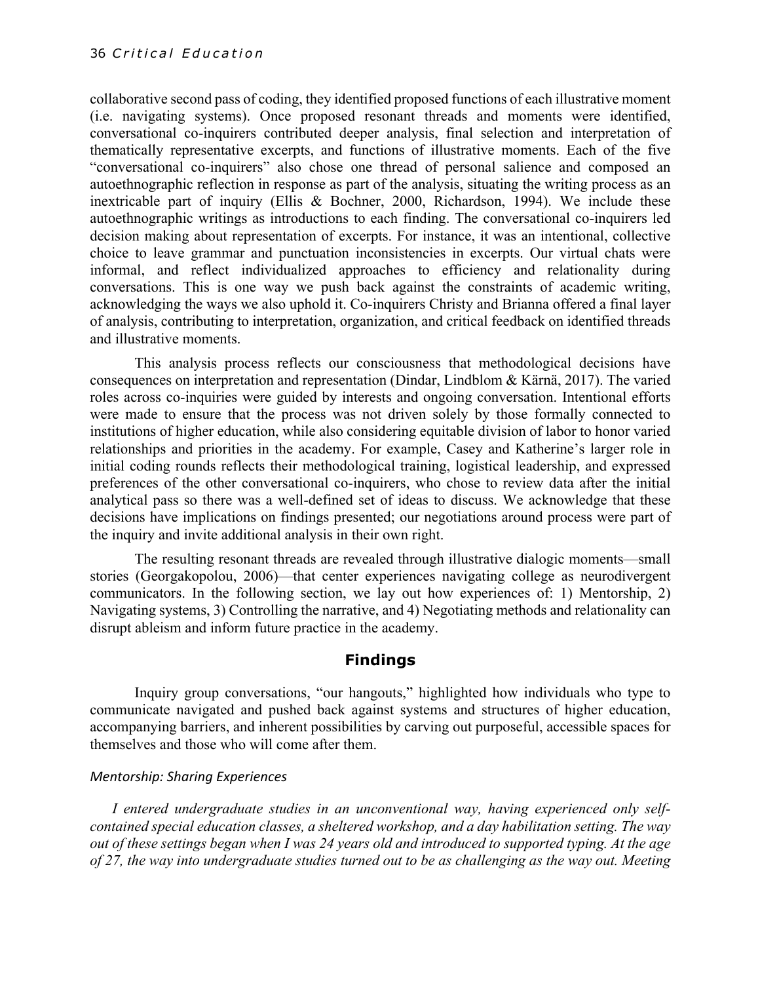collaborative second pass of coding, they identified proposed functions of each illustrative moment (i.e. navigating systems). Once proposed resonant threads and moments were identified, conversational co-inquirers contributed deeper analysis, final selection and interpretation of thematically representative excerpts, and functions of illustrative moments. Each of the five "conversational co-inquirers" also chose one thread of personal salience and composed an autoethnographic reflection in response as part of the analysis, situating the writing process as an inextricable part of inquiry (Ellis & Bochner, 2000, Richardson, 1994). We include these autoethnographic writings as introductions to each finding. The conversational co-inquirers led decision making about representation of excerpts. For instance, it was an intentional, collective choice to leave grammar and punctuation inconsistencies in excerpts. Our virtual chats were informal, and reflect individualized approaches to efficiency and relationality during conversations. This is one way we push back against the constraints of academic writing, acknowledging the ways we also uphold it. Co-inquirers Christy and Brianna offered a final layer of analysis, contributing to interpretation, organization, and critical feedback on identified threads and illustrative moments.

This analysis process reflects our consciousness that methodological decisions have consequences on interpretation and representation (Dindar, Lindblom & Kärnä, 2017). The varied roles across co-inquiries were guided by interests and ongoing conversation. Intentional efforts were made to ensure that the process was not driven solely by those formally connected to institutions of higher education, while also considering equitable division of labor to honor varied relationships and priorities in the academy. For example, Casey and Katherine's larger role in initial coding rounds reflects their methodological training, logistical leadership, and expressed preferences of the other conversational co-inquirers, who chose to review data after the initial analytical pass so there was a well-defined set of ideas to discuss. We acknowledge that these decisions have implications on findings presented; our negotiations around process were part of the inquiry and invite additional analysis in their own right.

The resulting resonant threads are revealed through illustrative dialogic moments—small stories (Georgakopolou, 2006)—that center experiences navigating college as neurodivergent communicators. In the following section, we lay out how experiences of: 1) Mentorship, 2) Navigating systems, 3) Controlling the narrative, and 4) Negotiating methods and relationality can disrupt ableism and inform future practice in the academy.

#### **Findings**

Inquiry group conversations, "our hangouts," highlighted how individuals who type to communicate navigated and pushed back against systems and structures of higher education, accompanying barriers, and inherent possibilities by carving out purposeful, accessible spaces for themselves and those who will come after them.

#### *Mentorship: Sharing Experiences*

*I entered undergraduate studies in an unconventional way, having experienced only selfcontained special education classes, a sheltered workshop, and a day habilitation setting. The way out of these settings began when I was 24 years old and introduced to supported typing. At the age of 27, the way into undergraduate studies turned out to be as challenging as the way out. Meeting*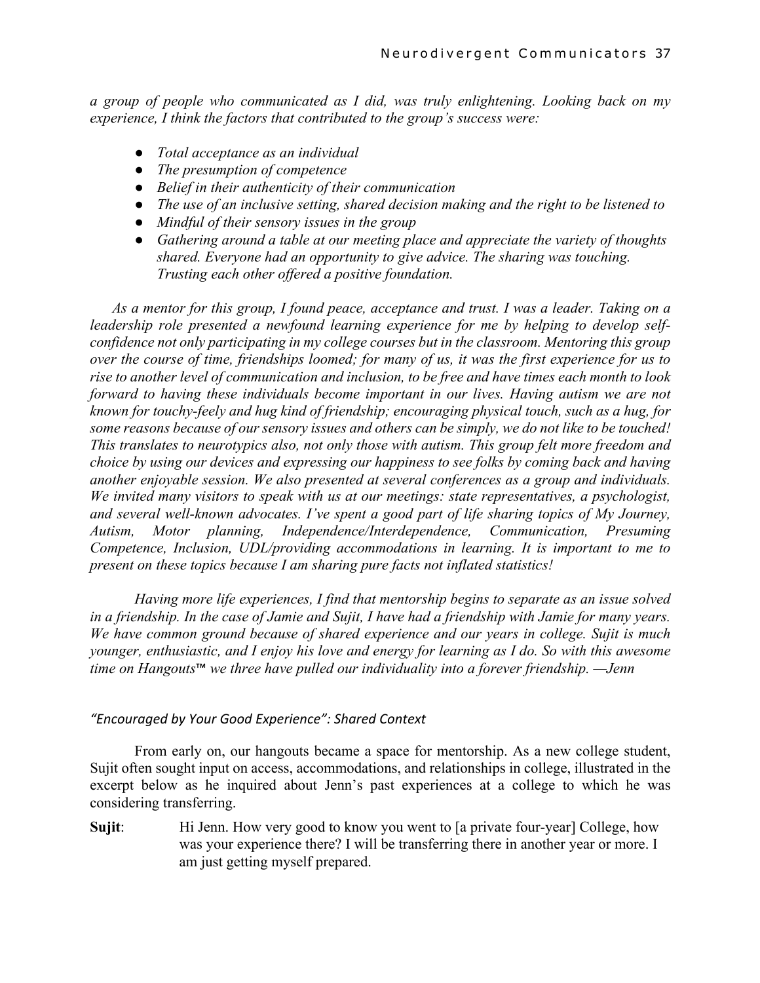*a group of people who communicated as I did, was truly enlightening. Looking back on my experience, I think the factors that contributed to the group's success were:*

- *Total acceptance as an individual*
- *The presumption of competence*
- *Belief in their authenticity of their communication*
- *The use of an inclusive setting, shared decision making and the right to be listened to*
- *Mindful of their sensory issues in the group*
- *Gathering around a table at our meeting place and appreciate the variety of thoughts shared. Everyone had an opportunity to give advice. The sharing was touching. Trusting each other offered a positive foundation.*

*As a mentor for this group, I found peace, acceptance and trust. I was a leader. Taking on a leadership role presented a newfound learning experience for me by helping to develop selfconfidence not only participating in my college courses but in the classroom. Mentoring this group over the course of time, friendships loomed; for many of us, it was the first experience for us to rise to another level of communication and inclusion, to be free and have times each month to look forward to having these individuals become important in our lives. Having autism we are not known for touchy-feely and hug kind of friendship; encouraging physical touch, such as a hug, for some reasons because of our sensory issues and others can be simply, we do not like to be touched! This translates to neurotypics also, not only those with autism. This group felt more freedom and choice by using our devices and expressing our happiness to see folks by coming back and having another enjoyable session. We also presented at several conferences as a group and individuals. We invited many visitors to speak with us at our meetings: state representatives, a psychologist, and several well-known advocates. I've spent a good part of life sharing topics of My Journey, Autism, Motor planning, Independence/Interdependence, Communication, Presuming Competence, Inclusion, UDL/providing accommodations in learning. It is important to me to present on these topics because I am sharing pure facts not inflated statistics!*

*Having more life experiences, I find that mentorship begins to separate as an issue solved in a friendship. In the case of Jamie and Sujit, I have had a friendship with Jamie for many years. We have common ground because of shared experience and our years in college. Sujit is much younger, enthusiastic, and I enjoy his love and energy for learning as I do. So with this awesome time on Hangouts*™ *we three have pulled our individuality into a forever friendship. —Jenn*

#### *"Encouraged by Your Good Experience": Shared Context*

From early on, our hangouts became a space for mentorship. As a new college student, Sujit often sought input on access, accommodations, and relationships in college, illustrated in the excerpt below as he inquired about Jenn's past experiences at a college to which he was considering transferring.

**Sujit:** Hi Jenn. How very good to know you went to [a private four-year] College, how was your experience there? I will be transferring there in another year or more. I am just getting myself prepared.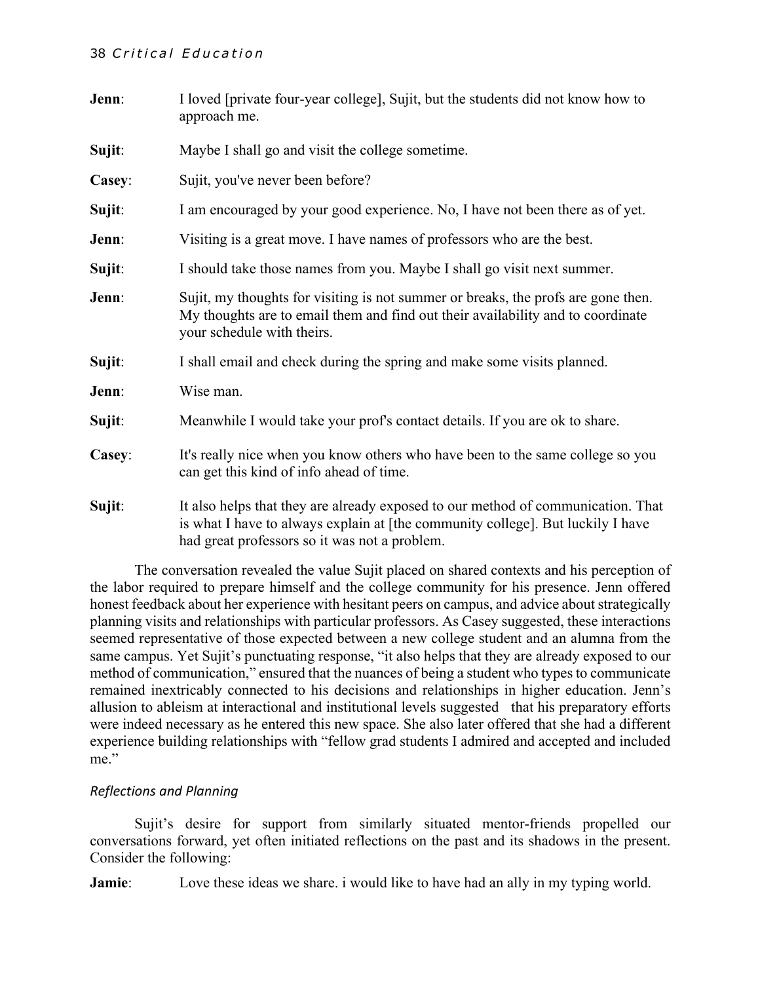#### 38 *Critical Education*

| Jenn:  | I loved [private four-year college], Sujit, but the students did not know how to<br>approach me.                                                                                                                     |  |  |
|--------|----------------------------------------------------------------------------------------------------------------------------------------------------------------------------------------------------------------------|--|--|
| Sujit: | Maybe I shall go and visit the college sometime.                                                                                                                                                                     |  |  |
| Casey: | Sujit, you've never been before?                                                                                                                                                                                     |  |  |
| Sujit: | I am encouraged by your good experience. No, I have not been there as of yet.                                                                                                                                        |  |  |
| Jenn:  | Visiting is a great move. I have names of professors who are the best.                                                                                                                                               |  |  |
| Sujit: | I should take those names from you. Maybe I shall go visit next summer.                                                                                                                                              |  |  |
| Jenn:  | Sujit, my thoughts for visiting is not summer or breaks, the profs are gone then.<br>My thoughts are to email them and find out their availability and to coordinate<br>your schedule with theirs.                   |  |  |
| Sujit: | I shall email and check during the spring and make some visits planned.                                                                                                                                              |  |  |
| Jenn:  | Wise man.                                                                                                                                                                                                            |  |  |
| Sujit: | Meanwhile I would take your prof's contact details. If you are ok to share.                                                                                                                                          |  |  |
| Casey: | It's really nice when you know others who have been to the same college so you<br>can get this kind of info ahead of time.                                                                                           |  |  |
| Sujit: | It also helps that they are already exposed to our method of communication. That<br>is what I have to always explain at [the community college]. But luckily I have<br>had great professors so it was not a problem. |  |  |

The conversation revealed the value Sujit placed on shared contexts and his perception of the labor required to prepare himself and the college community for his presence. Jenn offered honest feedback about her experience with hesitant peers on campus, and advice about strategically planning visits and relationships with particular professors. As Casey suggested, these interactions seemed representative of those expected between a new college student and an alumna from the same campus. Yet Sujit's punctuating response, "it also helps that they are already exposed to our method of communication," ensured that the nuances of being a student who types to communicate remained inextricably connected to his decisions and relationships in higher education. Jenn's allusion to ableism at interactional and institutional levels suggested that his preparatory efforts were indeed necessary as he entered this new space. She also later offered that she had a different experience building relationships with "fellow grad students I admired and accepted and included me."

#### *Reflections and Planning*

Sujit's desire for support from similarly situated mentor-friends propelled our conversations forward, yet often initiated reflections on the past and its shadows in the present. Consider the following:

**Jamie**: Love these ideas we share, i would like to have had an ally in my typing world.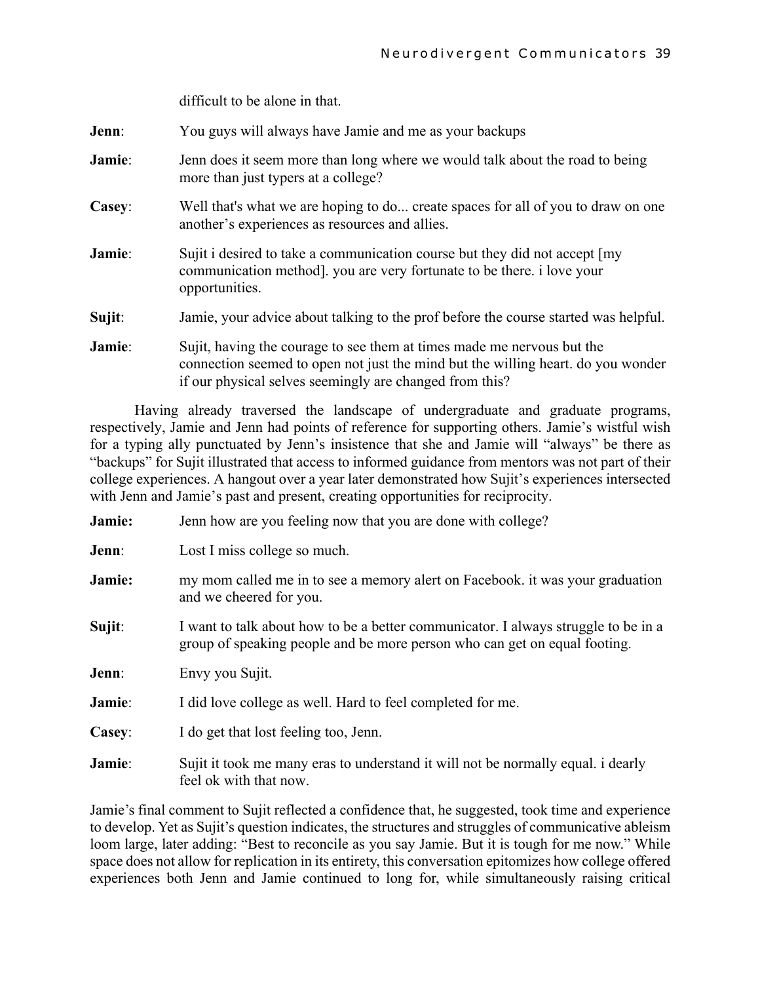difficult to be alone in that.

| Jenn:  | You guys will always have Jamie and me as your backups                                                                                                                                                                |
|--------|-----------------------------------------------------------------------------------------------------------------------------------------------------------------------------------------------------------------------|
| Jamie: | Jenn does it seem more than long where we would talk about the road to being<br>more than just typers at a college?                                                                                                   |
| Casey: | Well that's what we are hoping to do create spaces for all of you to draw on one<br>another's experiences as resources and allies.                                                                                    |
| Jamie: | Sujit i desired to take a communication course but they did not accept [my]<br>communication method]. you are very fortunate to be there. i love your<br>opportunities.                                               |
| Sujit: | Jamie, your advice about talking to the prof before the course started was helpful.                                                                                                                                   |
| Jamie: | Sujit, having the courage to see them at times made me nervous but the<br>connection seemed to open not just the mind but the willing heart. do you wonder<br>if our physical selves seemingly are changed from this? |

Having already traversed the landscape of undergraduate and graduate programs, respectively, Jamie and Jenn had points of reference for supporting others. Jamie's wistful wish for a typing ally punctuated by Jenn's insistence that she and Jamie will "always" be there as "backups" for Sujit illustrated that access to informed guidance from mentors was not part of their college experiences. A hangout over a year later demonstrated how Sujit's experiences intersected with Jenn and Jamie's past and present, creating opportunities for reciprocity.

| Jamie: | Jenn how are you feeling now that you are done with college?                                                                                                    |  |  |
|--------|-----------------------------------------------------------------------------------------------------------------------------------------------------------------|--|--|
| Jenn:  | Lost I miss college so much.                                                                                                                                    |  |  |
| Jamie: | my mom called me in to see a memory alert on Facebook. it was your graduation<br>and we cheered for you.                                                        |  |  |
| Sujit: | I want to talk about how to be a better communicator. I always struggle to be in a<br>group of speaking people and be more person who can get on equal footing. |  |  |
| Jenn:  | Envy you Sujit.                                                                                                                                                 |  |  |
| Jamie: | I did love college as well. Hard to feel completed for me.                                                                                                      |  |  |
| Casey: | I do get that lost feeling too, Jenn.                                                                                                                           |  |  |
| Jamie: | Sujit it took me many eras to understand it will not be normally equal. i dearly<br>feel ok with that now.                                                      |  |  |

Jamie's final comment to Sujit reflected a confidence that, he suggested, took time and experience to develop. Yet as Sujit's question indicates, the structures and struggles of communicative ableism loom large, later adding: "Best to reconcile as you say Jamie. But it is tough for me now." While space does not allow for replication in its entirety, this conversation epitomizes how college offered experiences both Jenn and Jamie continued to long for, while simultaneously raising critical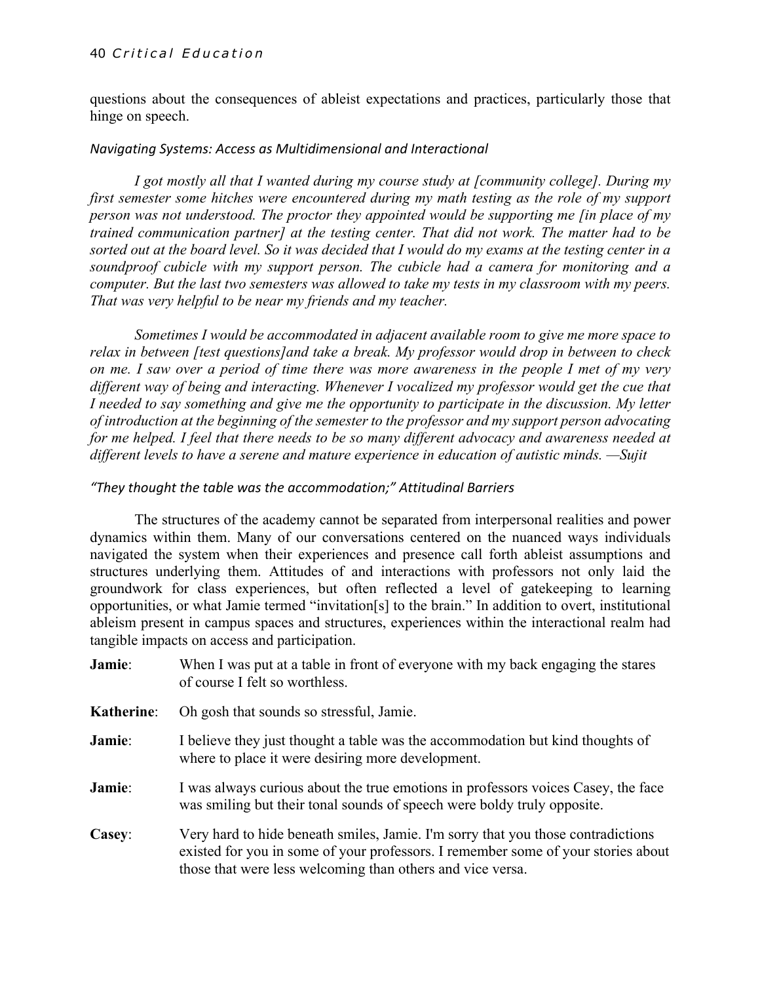#### 40 *Critical Education*

questions about the consequences of ableist expectations and practices, particularly those that hinge on speech.

#### *Navigating Systems: Access as Multidimensional and Interactional*

*I got mostly all that I wanted during my course study at [community college]. During my first semester some hitches were encountered during my math testing as the role of my support person was not understood. The proctor they appointed would be supporting me [in place of my trained communication partner] at the testing center. That did not work. The matter had to be sorted out at the board level. So it was decided that I would do my exams at the testing center in a soundproof cubicle with my support person. The cubicle had a camera for monitoring and a computer. But the last two semesters was allowed to take my tests in my classroom with my peers. That was very helpful to be near my friends and my teacher.*

*Sometimes I would be accommodated in adjacent available room to give me more space to relax in between [test questions]and take a break. My professor would drop in between to check on me. I saw over a period of time there was more awareness in the people I met of my very different way of being and interacting. Whenever I vocalized my professor would get the cue that I needed to say something and give me the opportunity to participate in the discussion. My letter of introduction at the beginning of the semester to the professor and my support person advocating for me helped. I feel that there needs to be so many different advocacy and awareness needed at different levels to have a serene and mature experience in education of autistic minds. —Sujit*

#### *"They thought the table was the accommodation;" Attitudinal Barriers*

The structures of the academy cannot be separated from interpersonal realities and power dynamics within them. Many of our conversations centered on the nuanced ways individuals navigated the system when their experiences and presence call forth ableist assumptions and structures underlying them. Attitudes of and interactions with professors not only laid the groundwork for class experiences, but often reflected a level of gatekeeping to learning opportunities, or what Jamie termed "invitation[s] to the brain." In addition to overt, institutional ableism present in campus spaces and structures, experiences within the interactional realm had tangible impacts on access and participation.

- **Jamie:** When I was put at a table in front of everyone with my back engaging the stares of course I felt so worthless.
- **Katherine**: Oh gosh that sounds so stressful, Jamie.
- **Jamie:** I believe they just thought a table was the accommodation but kind thoughts of where to place it were desiring more development.
- **Jamie:** I was always curious about the true emotions in professors voices Casey, the face was smiling but their tonal sounds of speech were boldy truly opposite.
- **Casey**: Very hard to hide beneath smiles, Jamie. I'm sorry that you those contradictions existed for you in some of your professors. I remember some of your stories about those that were less welcoming than others and vice versa.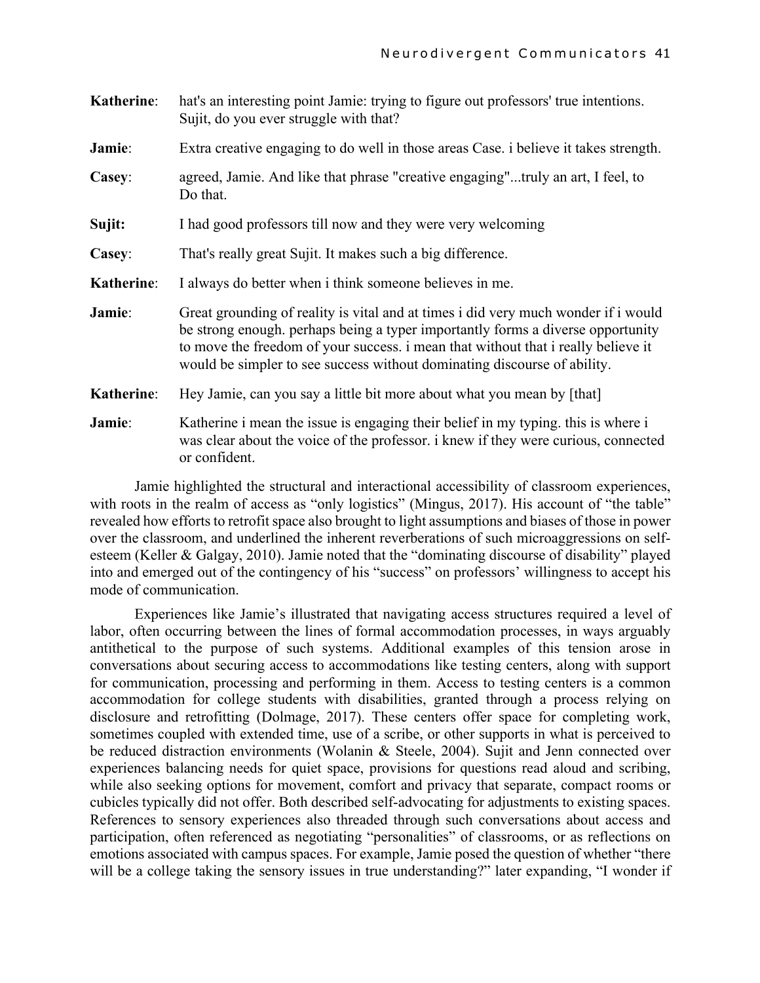| <b>Katherine:</b> | hat's an interesting point Jamie: trying to figure out professors' true intentions.<br>Sujit, do you ever struggle with that?                                                                                                                                                                                                          |  |
|-------------------|----------------------------------------------------------------------------------------------------------------------------------------------------------------------------------------------------------------------------------------------------------------------------------------------------------------------------------------|--|
| Jamie:            | Extra creative engaging to do well in those areas Case. i believe it takes strength.                                                                                                                                                                                                                                                   |  |
| Casey:            | agreed, Jamie. And like that phrase "creative engaging"truly an art, I feel, to<br>Do that.                                                                                                                                                                                                                                            |  |
| Sujit:            | I had good professors till now and they were very welcoming                                                                                                                                                                                                                                                                            |  |
| Casey:            | That's really great Sujit. It makes such a big difference.                                                                                                                                                                                                                                                                             |  |
| <b>Katherine:</b> | I always do better when i think someone believes in me.                                                                                                                                                                                                                                                                                |  |
| Jamie:            | Great grounding of reality is vital and at times i did very much wonder if i would<br>be strong enough. perhaps being a typer importantly forms a diverse opportunity<br>to move the freedom of your success. i mean that without that i really believe it<br>would be simpler to see success without dominating discourse of ability. |  |
| Katherine:        | Hey Jamie, can you say a little bit more about what you mean by [that]                                                                                                                                                                                                                                                                 |  |
| Jamie:            | Katherine i mean the issue is engaging their belief in my typing, this is where i<br>was clear about the voice of the professor. i knew if they were curious, connected<br>or confident.                                                                                                                                               |  |

Jamie highlighted the structural and interactional accessibility of classroom experiences, with roots in the realm of access as "only logistics" (Mingus, 2017). His account of "the table" revealed how efforts to retrofit space also brought to light assumptions and biases of those in power over the classroom, and underlined the inherent reverberations of such microaggressions on selfesteem (Keller & Galgay, 2010). Jamie noted that the "dominating discourse of disability" played into and emerged out of the contingency of his "success" on professors' willingness to accept his mode of communication.

Experiences like Jamie's illustrated that navigating access structures required a level of labor, often occurring between the lines of formal accommodation processes, in ways arguably antithetical to the purpose of such systems. Additional examples of this tension arose in conversations about securing access to accommodations like testing centers, along with support for communication, processing and performing in them. Access to testing centers is a common accommodation for college students with disabilities, granted through a process relying on disclosure and retrofitting (Dolmage, 2017). These centers offer space for completing work, sometimes coupled with extended time, use of a scribe, or other supports in what is perceived to be reduced distraction environments (Wolanin & Steele, 2004). Sujit and Jenn connected over experiences balancing needs for quiet space, provisions for questions read aloud and scribing, while also seeking options for movement, comfort and privacy that separate, compact rooms or cubicles typically did not offer. Both described self-advocating for adjustments to existing spaces. References to sensory experiences also threaded through such conversations about access and participation, often referenced as negotiating "personalities" of classrooms, or as reflections on emotions associated with campus spaces. For example, Jamie posed the question of whether "there will be a college taking the sensory issues in true understanding?" later expanding, "I wonder if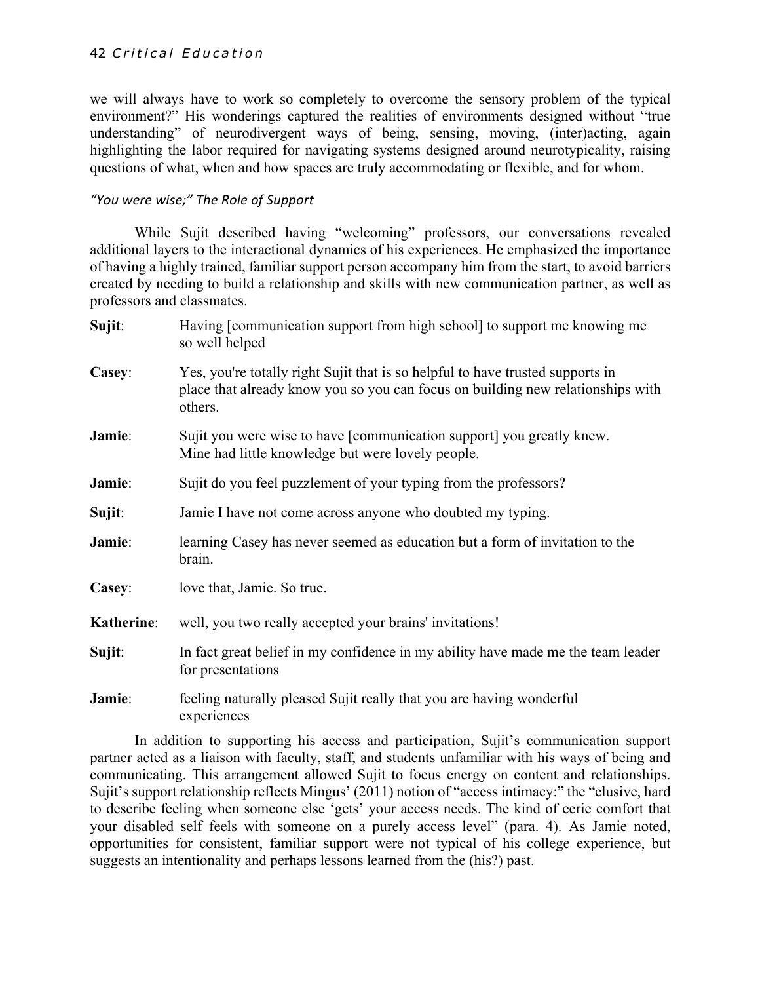we will always have to work so completely to overcome the sensory problem of the typical environment?" His wonderings captured the realities of environments designed without "true understanding" of neurodivergent ways of being, sensing, moving, (inter)acting, again highlighting the labor required for navigating systems designed around neurotypicality, raising questions of what, when and how spaces are truly accommodating or flexible, and for whom.

#### *"You were wise;" The Role of Support*

While Sujit described having "welcoming" professors, our conversations revealed additional layers to the interactional dynamics of his experiences. He emphasized the importance of having a highly trained, familiar support person accompany him from the start, to avoid barriers created by needing to build a relationship and skills with new communication partner, as well as professors and classmates.

| Sujit:     | Having [communication support from high school] to support me knowing me<br>so well helped                                                                                   |  |
|------------|------------------------------------------------------------------------------------------------------------------------------------------------------------------------------|--|
| Casey:     | Yes, you're totally right Sujit that is so helpful to have trusted supports in<br>place that already know you so you can focus on building new relationships with<br>others. |  |
| Jamie:     | Sujit you were wise to have [communication support] you greatly knew.<br>Mine had little knowledge but were lovely people.                                                   |  |
| Jamie:     | Sujit do you feel puzzlement of your typing from the professors?                                                                                                             |  |
| Sujit:     | Jamie I have not come across anyone who doubted my typing.                                                                                                                   |  |
| Jamie:     | learning Casey has never seemed as education but a form of invitation to the<br>brain.                                                                                       |  |
| Casey:     | love that, Jamie. So true.                                                                                                                                                   |  |
| Katherine: | well, you two really accepted your brains' invitations!                                                                                                                      |  |
| Sujit:     | In fact great belief in my confidence in my ability have made me the team leader<br>for presentations                                                                        |  |
| Jamie:     | feeling naturally pleased Sujit really that you are having wonderful<br>experiences                                                                                          |  |

In addition to supporting his access and participation, Sujit's communication support partner acted as a liaison with faculty, staff, and students unfamiliar with his ways of being and communicating. This arrangement allowed Sujit to focus energy on content and relationships. Sujit's support relationship reflects Mingus' (2011) notion of "access intimacy:" the "elusive, hard to describe feeling when someone else 'gets' your access needs. The kind of eerie comfort that your disabled self feels with someone on a purely access level" (para. 4). As Jamie noted, opportunities for consistent, familiar support were not typical of his college experience, but suggests an intentionality and perhaps lessons learned from the (his?) past.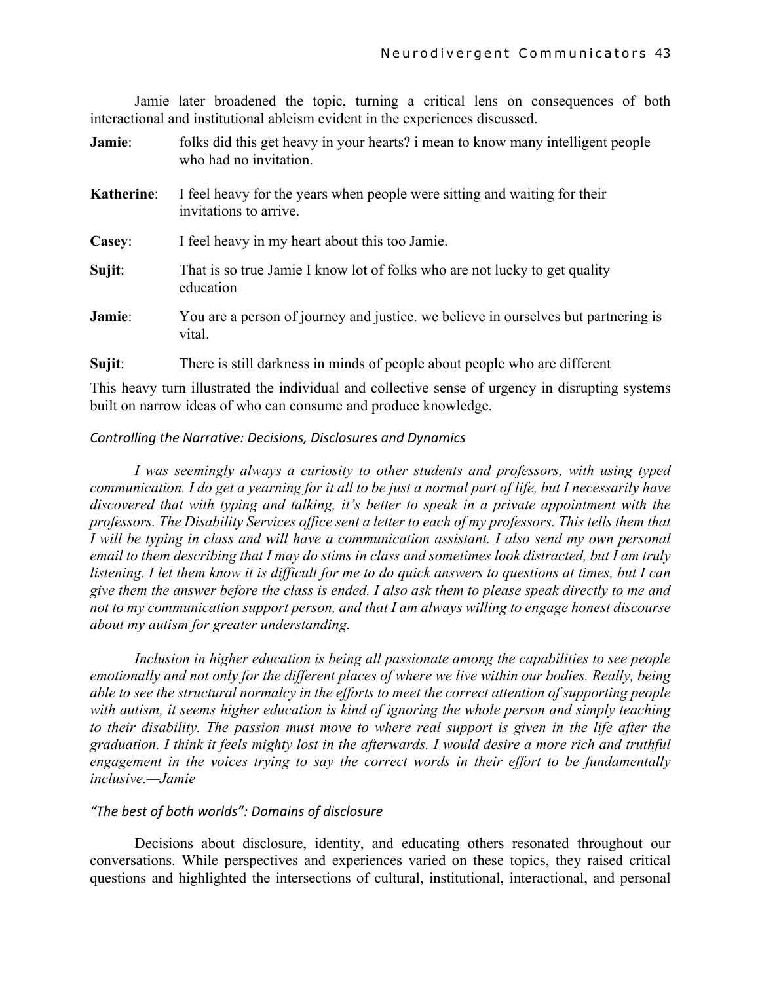Jamie later broadened the topic, turning a critical lens on consequences of both interactional and institutional ableism evident in the experiences discussed.

| Jamie:            | folks did this get heavy in your hearts? i mean to know many intelligent people<br>who had no invitation. |
|-------------------|-----------------------------------------------------------------------------------------------------------|
| <b>Katherine:</b> | I feel heavy for the years when people were sitting and waiting for their<br>invitations to arrive.       |
| Casey:            | I feel heavy in my heart about this too Jamie.                                                            |
| Sujit:            | That is so true Jamie I know lot of folks who are not lucky to get quality<br>education                   |
| Jamie:            | You are a person of journey and justice. we believe in ourselves but partnering is<br>vital.              |
| Sujit:            | There is still darkness in minds of people about people who are different                                 |

This heavy turn illustrated the individual and collective sense of urgency in disrupting systems built on narrow ideas of who can consume and produce knowledge.

#### *Controlling the Narrative: Decisions, Disclosures and Dynamics*

*I was seemingly always a curiosity to other students and professors, with using typed communication. I do get a yearning for it all to be just a normal part of life, but I necessarily have discovered that with typing and talking, it's better to speak in a private appointment with the professors. The Disability Services office sent a letter to each of my professors. This tells them that I will be typing in class and will have a communication assistant. I also send my own personal email to them describing that I may do stims in class and sometimes look distracted, but I am truly listening. I let them know it is difficult for me to do quick answers to questions at times, but I can give them the answer before the class is ended. I also ask them to please speak directly to me and not to my communication support person, and that I am always willing to engage honest discourse about my autism for greater understanding.*

*Inclusion in higher education is being all passionate among the capabilities to see people emotionally and not only for the different places of where we live within our bodies. Really, being able to see the structural normalcy in the efforts to meet the correct attention of supporting people with autism, it seems higher education is kind of ignoring the whole person and simply teaching to their disability. The passion must move to where real support is given in the life after the graduation. I think it feels mighty lost in the afterwards. I would desire a more rich and truthful engagement in the voices trying to say the correct words in their effort to be fundamentally inclusive.—Jamie*

#### *"The best of both worlds": Domains of disclosure*

Decisions about disclosure, identity, and educating others resonated throughout our conversations. While perspectives and experiences varied on these topics, they raised critical questions and highlighted the intersections of cultural, institutional, interactional, and personal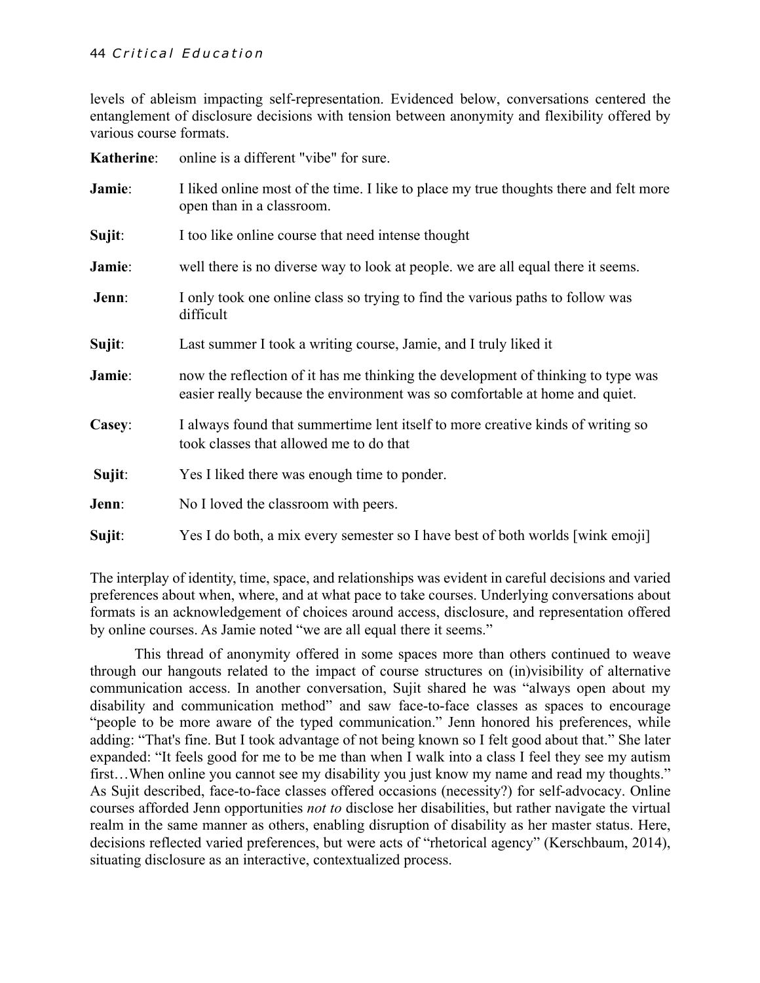levels of ableism impacting self-representation. Evidenced below, conversations centered the entanglement of disclosure decisions with tension between anonymity and flexibility offered by various course formats.

| <b>Katherine:</b> | online is a different "vibe" for sure.                                                                                                                          |  |  |
|-------------------|-----------------------------------------------------------------------------------------------------------------------------------------------------------------|--|--|
| Jamie:            | I liked online most of the time. I like to place my true thoughts there and felt more<br>open than in a classroom.                                              |  |  |
| Sujit:            | I too like online course that need intense thought                                                                                                              |  |  |
| Jamie:            | well there is no diverse way to look at people. we are all equal there it seems.                                                                                |  |  |
| Jenn:             | I only took one online class so trying to find the various paths to follow was<br>difficult                                                                     |  |  |
| Sujit:            | Last summer I took a writing course, Jamie, and I truly liked it                                                                                                |  |  |
| Jamie:            | now the reflection of it has me thinking the development of thinking to type was<br>easier really because the environment was so comfortable at home and quiet. |  |  |
| Casey:            | I always found that summertime lent itself to more creative kinds of writing so<br>took classes that allowed me to do that                                      |  |  |
| Sujit:            | Yes I liked there was enough time to ponder.                                                                                                                    |  |  |
| Jenn:             | No I loved the classroom with peers.                                                                                                                            |  |  |
| Sujit:            | Yes I do both, a mix every semester so I have best of both worlds [wink emoji]                                                                                  |  |  |

The interplay of identity, time, space, and relationships was evident in careful decisions and varied preferences about when, where, and at what pace to take courses. Underlying conversations about formats is an acknowledgement of choices around access, disclosure, and representation offered by online courses. As Jamie noted "we are all equal there it seems."

This thread of anonymity offered in some spaces more than others continued to weave through our hangouts related to the impact of course structures on (in)visibility of alternative communication access. In another conversation, Sujit shared he was "always open about my disability and communication method" and saw face-to-face classes as spaces to encourage "people to be more aware of the typed communication." Jenn honored his preferences, while adding: "That's fine. But I took advantage of not being known so I felt good about that." She later expanded: "It feels good for me to be me than when I walk into a class I feel they see my autism first...When online you cannot see my disability you just know my name and read my thoughts." As Sujit described, face-to-face classes offered occasions (necessity?) for self-advocacy. Online courses afforded Jenn opportunities *not to* disclose her disabilities, but rather navigate the virtual realm in the same manner as others, enabling disruption of disability as her master status. Here, decisions reflected varied preferences, but were acts of "rhetorical agency" (Kerschbaum, 2014), situating disclosure as an interactive, contextualized process.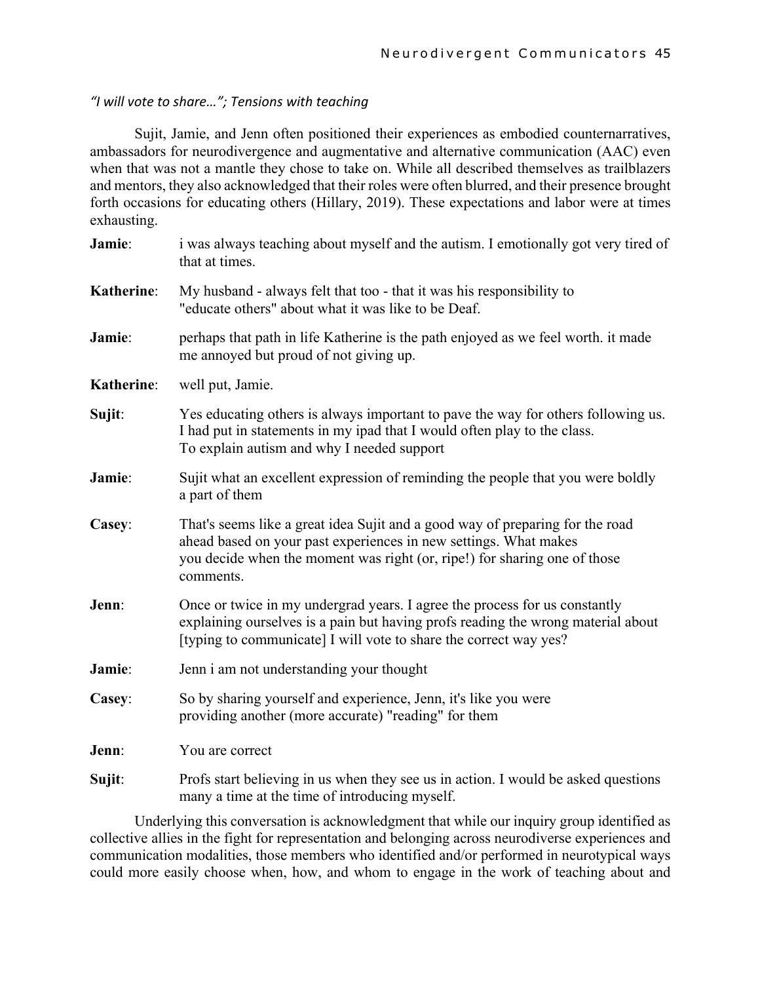#### *"I will vote to share…"; Tensions with teaching*

Sujit, Jamie, and Jenn often positioned their experiences as embodied counternarratives, ambassadors for neurodivergence and augmentative and alternative communication (AAC) even when that was not a mantle they chose to take on. While all described themselves as trailblazers and mentors, they also acknowledged that their roles were often blurred, and their presence brought forth occasions for educating others (Hillary, 2019). These expectations and labor were at times exhausting.

| Jamie:     | i was always teaching about myself and the autism. I emotionally got very tired of<br>that at times.                                                                                                                                        |  |
|------------|---------------------------------------------------------------------------------------------------------------------------------------------------------------------------------------------------------------------------------------------|--|
| Katherine: | My husband - always felt that too - that it was his responsibility to<br>"educate others" about what it was like to be Deaf.                                                                                                                |  |
| Jamie:     | perhaps that path in life Katherine is the path enjoyed as we feel worth. it made<br>me annoyed but proud of not giving up.                                                                                                                 |  |
| Katherine: | well put, Jamie.                                                                                                                                                                                                                            |  |
| Sujit:     | Yes educating others is always important to pave the way for others following us.<br>I had put in statements in my ipad that I would often play to the class.<br>To explain autism and why I needed support                                 |  |
| Jamie:     | Sujit what an excellent expression of reminding the people that you were boldly<br>a part of them                                                                                                                                           |  |
| Casey:     | That's seems like a great idea Sujit and a good way of preparing for the road<br>ahead based on your past experiences in new settings. What makes<br>you decide when the moment was right (or, ripe!) for sharing one of those<br>comments. |  |
| Jenn:      | Once or twice in my undergrad years. I agree the process for us constantly<br>explaining ourselves is a pain but having profs reading the wrong material about<br>[typing to communicate] I will vote to share the correct way yes?         |  |
| Jamie:     | Jenn i am not understanding your thought                                                                                                                                                                                                    |  |
| Casey:     | So by sharing yourself and experience, Jenn, it's like you were<br>providing another (more accurate) "reading" for them                                                                                                                     |  |
| Jenn:      | You are correct                                                                                                                                                                                                                             |  |
| Sujit:     | Profs start believing in us when they see us in action. I would be asked questions<br>many a time at the time of introducing myself.                                                                                                        |  |

Underlying this conversation is acknowledgment that while our inquiry group identified as collective allies in the fight for representation and belonging across neurodiverse experiences and communication modalities, those members who identified and/or performed in neurotypical ways could more easily choose when, how, and whom to engage in the work of teaching about and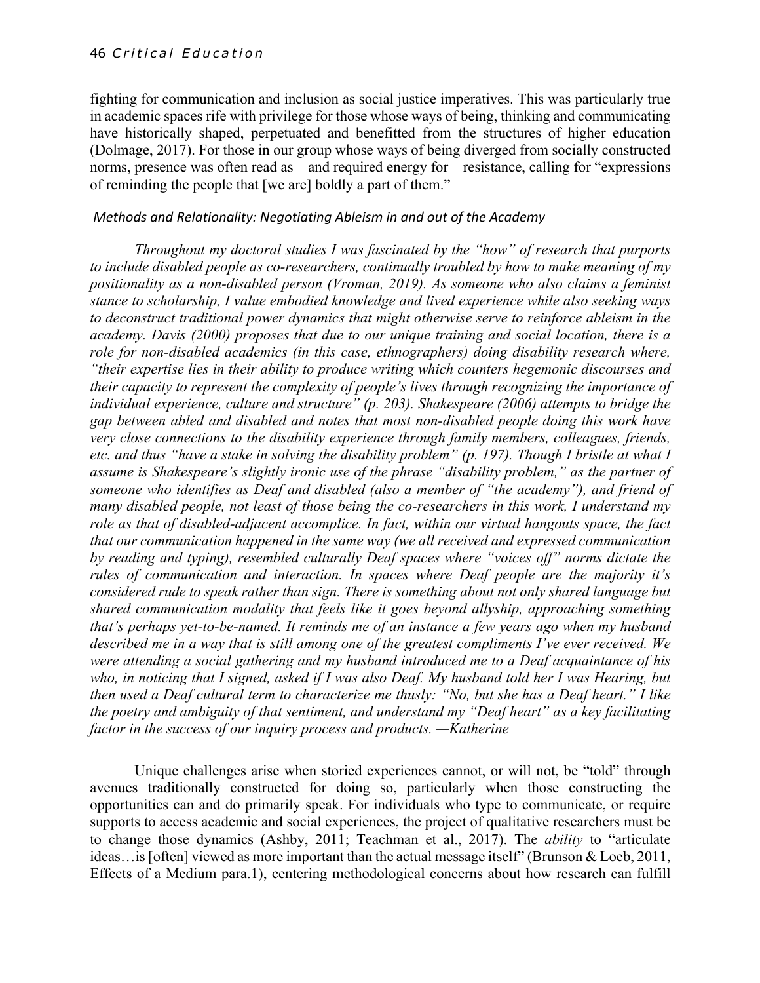fighting for communication and inclusion as social justice imperatives. This was particularly true in academic spaces rife with privilege for those whose ways of being, thinking and communicating have historically shaped, perpetuated and benefitted from the structures of higher education (Dolmage, 2017). For those in our group whose ways of being diverged from socially constructed norms, presence was often read as—and required energy for—resistance, calling for "expressions of reminding the people that [we are] boldly a part of them."

#### *Methods and Relationality: Negotiating Ableism in and out of the Academy*

*Throughout my doctoral studies I was fascinated by the "how" of research that purports to include disabled people as co-researchers, continually troubled by how to make meaning of my positionality as a non-disabled person (Vroman, 2019). As someone who also claims a feminist stance to scholarship, I value embodied knowledge and lived experience while also seeking ways to deconstruct traditional power dynamics that might otherwise serve to reinforce ableism in the academy. Davis (2000) proposes that due to our unique training and social location, there is a role for non-disabled academics (in this case, ethnographers) doing disability research where, "their expertise lies in their ability to produce writing which counters hegemonic discourses and their capacity to represent the complexity of people's lives through recognizing the importance of individual experience, culture and structure" (p. 203). Shakespeare (2006) attempts to bridge the gap between abled and disabled and notes that most non-disabled people doing this work have very close connections to the disability experience through family members, colleagues, friends, etc. and thus "have a stake in solving the disability problem" (p. 197). Though I bristle at what I assume is Shakespeare's slightly ironic use of the phrase "disability problem," as the partner of someone who identifies as Deaf and disabled (also a member of "the academy"), and friend of many disabled people, not least of those being the co-researchers in this work, I understand my role as that of disabled-adjacent accomplice. In fact, within our virtual hangouts space, the fact that our communication happened in the same way (we all received and expressed communication by reading and typing), resembled culturally Deaf spaces where "voices off" norms dictate the rules of communication and interaction. In spaces where Deaf people are the majority it's considered rude to speak rather than sign. There is something about not only shared language but shared communication modality that feels like it goes beyond allyship, approaching something that's perhaps yet-to-be-named. It reminds me of an instance a few years ago when my husband described me in a way that is still among one of the greatest compliments I've ever received. We were attending a social gathering and my husband introduced me to a Deaf acquaintance of his who, in noticing that I signed, asked if I was also Deaf. My husband told her I was Hearing, but then used a Deaf cultural term to characterize me thusly: "No, but she has a Deaf heart." I like the poetry and ambiguity of that sentiment, and understand my "Deaf heart" as a key facilitating factor in the success of our inquiry process and products. —Katherine*

Unique challenges arise when storied experiences cannot, or will not, be "told" through avenues traditionally constructed for doing so, particularly when those constructing the opportunities can and do primarily speak. For individuals who type to communicate, or require supports to access academic and social experiences, the project of qualitative researchers must be to change those dynamics (Ashby, 2011; Teachman et al., 2017). The *ability* to "articulate ideas…is [often] viewed as more important than the actual message itself" (Brunson & Loeb, 2011, Effects of a Medium para.1), centering methodological concerns about how research can fulfill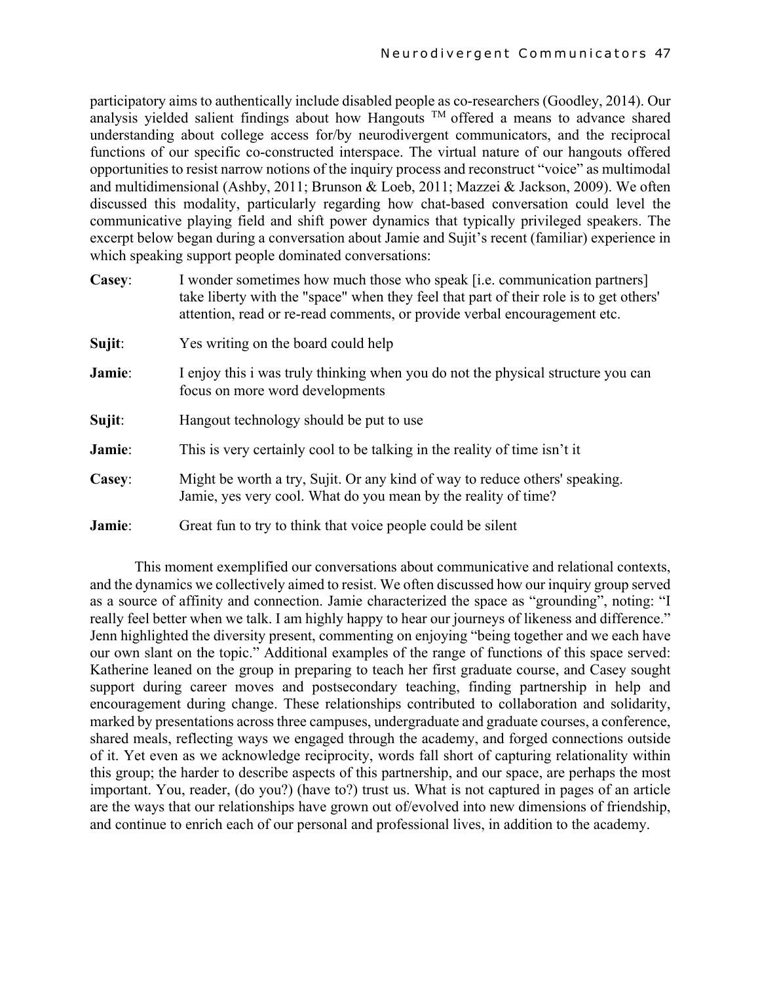participatory aims to authentically include disabled people as co-researchers (Goodley, 2014). Our analysis yielded salient findings about how Hangouts TM offered a means to advance shared understanding about college access for/by neurodivergent communicators, and the reciprocal functions of our specific co-constructed interspace. The virtual nature of our hangouts offered opportunities to resist narrow notions of the inquiry process and reconstruct "voice" as multimodal and multidimensional (Ashby, 2011; Brunson & Loeb, 2011; Mazzei & Jackson, 2009). We often discussed this modality, particularly regarding how chat-based conversation could level the communicative playing field and shift power dynamics that typically privileged speakers. The excerpt below began during a conversation about Jamie and Sujit's recent (familiar) experience in which speaking support people dominated conversations:

| Casey: | I wonder sometimes how much those who speak [i.e. communication partners]<br>take liberty with the "space" when they feel that part of their role is to get others'<br>attention, read or re-read comments, or provide verbal encouragement etc. |  |  |
|--------|--------------------------------------------------------------------------------------------------------------------------------------------------------------------------------------------------------------------------------------------------|--|--|
| Sujit: | Yes writing on the board could help                                                                                                                                                                                                              |  |  |
| Jamie: | I enjoy this i was truly thinking when you do not the physical structure you can<br>focus on more word developments                                                                                                                              |  |  |
| Sujit: | Hangout technology should be put to use                                                                                                                                                                                                          |  |  |
| Jamie: | This is very certainly cool to be talking in the reality of time isn't it                                                                                                                                                                        |  |  |
| Casey: | Might be worth a try, Sujit. Or any kind of way to reduce others' speaking.<br>Jamie, yes very cool. What do you mean by the reality of time?                                                                                                    |  |  |
| Jamie: | Great fun to try to think that voice people could be silent                                                                                                                                                                                      |  |  |

This moment exemplified our conversations about communicative and relational contexts, and the dynamics we collectively aimed to resist. We often discussed how our inquiry group served as a source of affinity and connection. Jamie characterized the space as "grounding", noting: "I really feel better when we talk. I am highly happy to hear our journeys of likeness and difference." Jenn highlighted the diversity present, commenting on enjoying "being together and we each have our own slant on the topic." Additional examples of the range of functions of this space served: Katherine leaned on the group in preparing to teach her first graduate course, and Casey sought support during career moves and postsecondary teaching, finding partnership in help and encouragement during change. These relationships contributed to collaboration and solidarity, marked by presentations across three campuses, undergraduate and graduate courses, a conference, shared meals, reflecting ways we engaged through the academy, and forged connections outside of it. Yet even as we acknowledge reciprocity, words fall short of capturing relationality within this group; the harder to describe aspects of this partnership, and our space, are perhaps the most important. You, reader, (do you?) (have to?) trust us. What is not captured in pages of an article are the ways that our relationships have grown out of/evolved into new dimensions of friendship, and continue to enrich each of our personal and professional lives, in addition to the academy.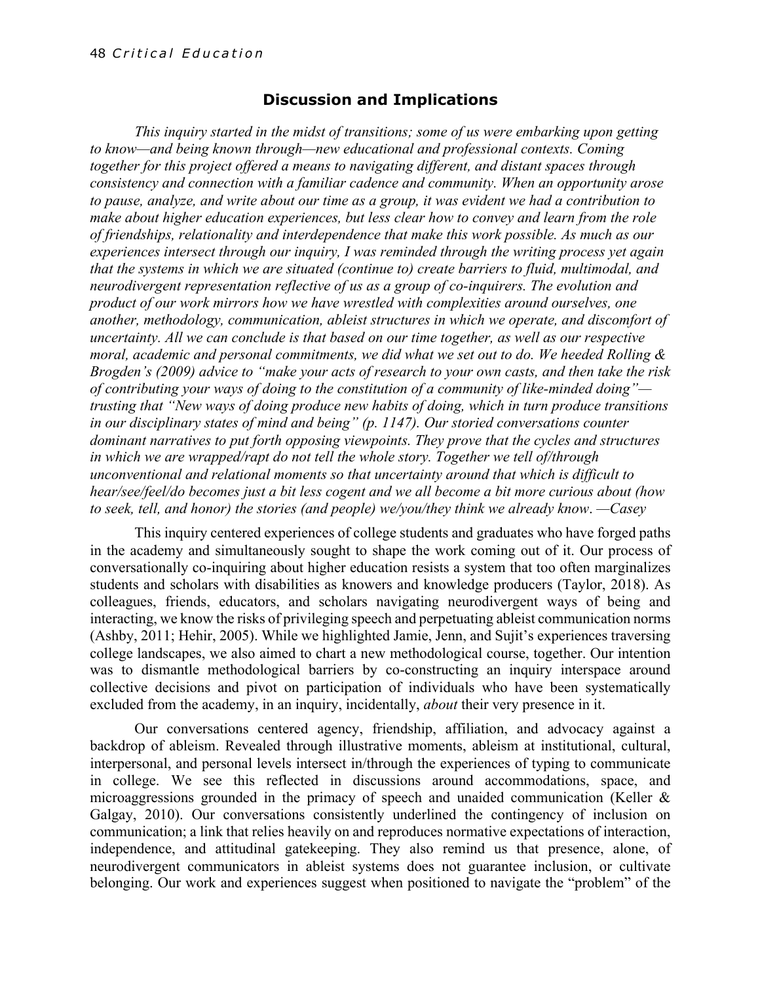#### **Discussion and Implications**

*This inquiry started in the midst of transitions; some of us were embarking upon getting to know—and being known through—new educational and professional contexts. Coming together for this project offered a means to navigating different, and distant spaces through consistency and connection with a familiar cadence and community. When an opportunity arose to pause, analyze, and write about our time as a group, it was evident we had a contribution to make about higher education experiences, but less clear how to convey and learn from the role of friendships, relationality and interdependence that make this work possible. As much as our experiences intersect through our inquiry, I was reminded through the writing process yet again that the systems in which we are situated (continue to) create barriers to fluid, multimodal, and neurodivergent representation reflective of us as a group of co-inquirers. The evolution and product of our work mirrors how we have wrestled with complexities around ourselves, one another, methodology, communication, ableist structures in which we operate, and discomfort of uncertainty. All we can conclude is that based on our time together, as well as our respective moral, academic and personal commitments, we did what we set out to do. We heeded Rolling & Brogden's (2009) advice to "make your acts of research to your own casts, and then take the risk of contributing your ways of doing to the constitution of a community of like-minded doing" trusting that "New ways of doing produce new habits of doing, which in turn produce transitions in our disciplinary states of mind and being" (p. 1147). Our storied conversations counter dominant narratives to put forth opposing viewpoints. They prove that the cycles and structures in which we are wrapped/rapt do not tell the whole story. Together we tell of/through unconventional and relational moments so that uncertainty around that which is difficult to hear/see/feel/do becomes just a bit less cogent and we all become a bit more curious about (how to seek, tell, and honor) the stories (and people) we/you/they think we already know*. *—Casey*

This inquiry centered experiences of college students and graduates who have forged paths in the academy and simultaneously sought to shape the work coming out of it. Our process of conversationally co-inquiring about higher education resists a system that too often marginalizes students and scholars with disabilities as knowers and knowledge producers (Taylor, 2018). As colleagues, friends, educators, and scholars navigating neurodivergent ways of being and interacting, we know the risks of privileging speech and perpetuating ableist communication norms (Ashby, 2011; Hehir, 2005). While we highlighted Jamie, Jenn, and Sujit's experiences traversing college landscapes, we also aimed to chart a new methodological course, together. Our intention was to dismantle methodological barriers by co-constructing an inquiry interspace around collective decisions and pivot on participation of individuals who have been systematically excluded from the academy, in an inquiry, incidentally, *about* their very presence in it.

Our conversations centered agency, friendship, affiliation, and advocacy against a backdrop of ableism. Revealed through illustrative moments, ableism at institutional, cultural, interpersonal, and personal levels intersect in/through the experiences of typing to communicate in college. We see this reflected in discussions around accommodations, space, and microaggressions grounded in the primacy of speech and unaided communication (Keller & Galgay, 2010). Our conversations consistently underlined the contingency of inclusion on communication; a link that relies heavily on and reproduces normative expectations of interaction, independence, and attitudinal gatekeeping. They also remind us that presence, alone, of neurodivergent communicators in ableist systems does not guarantee inclusion, or cultivate belonging. Our work and experiences suggest when positioned to navigate the "problem" of the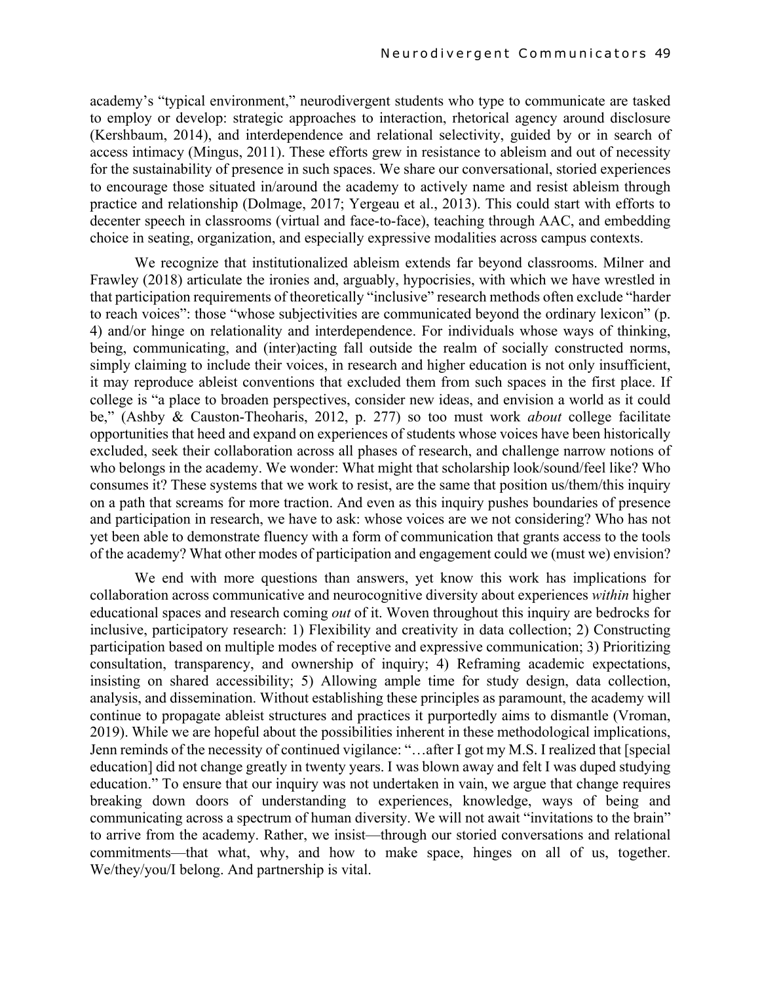academy's "typical environment," neurodivergent students who type to communicate are tasked to employ or develop: strategic approaches to interaction, rhetorical agency around disclosure (Kershbaum, 2014), and interdependence and relational selectivity, guided by or in search of access intimacy (Mingus, 2011). These efforts grew in resistance to ableism and out of necessity for the sustainability of presence in such spaces. We share our conversational, storied experiences to encourage those situated in/around the academy to actively name and resist ableism through practice and relationship (Dolmage, 2017; Yergeau et al., 2013). This could start with efforts to decenter speech in classrooms (virtual and face-to-face), teaching through AAC, and embedding choice in seating, organization, and especially expressive modalities across campus contexts.

We recognize that institutionalized ableism extends far beyond classrooms. Milner and Frawley (2018) articulate the ironies and, arguably, hypocrisies, with which we have wrestled in that participation requirements of theoretically "inclusive" research methods often exclude "harder to reach voices": those "whose subjectivities are communicated beyond the ordinary lexicon" (p. 4) and/or hinge on relationality and interdependence. For individuals whose ways of thinking, being, communicating, and (inter)acting fall outside the realm of socially constructed norms, simply claiming to include their voices, in research and higher education is not only insufficient, it may reproduce ableist conventions that excluded them from such spaces in the first place. If college is "a place to broaden perspectives, consider new ideas, and envision a world as it could be," (Ashby & Causton-Theoharis, 2012, p. 277) so too must work *about* college facilitate opportunities that heed and expand on experiences of students whose voices have been historically excluded, seek their collaboration across all phases of research, and challenge narrow notions of who belongs in the academy. We wonder: What might that scholarship look/sound/feel like? Who consumes it? These systems that we work to resist, are the same that position us/them/this inquiry on a path that screams for more traction. And even as this inquiry pushes boundaries of presence and participation in research, we have to ask: whose voices are we not considering? Who has not yet been able to demonstrate fluency with a form of communication that grants access to the tools of the academy? What other modes of participation and engagement could we (must we) envision?

We end with more questions than answers, yet know this work has implications for collaboration across communicative and neurocognitive diversity about experiences *within* higher educational spaces and research coming *out* of it. Woven throughout this inquiry are bedrocks for inclusive, participatory research: 1) Flexibility and creativity in data collection; 2) Constructing participation based on multiple modes of receptive and expressive communication; 3) Prioritizing consultation, transparency, and ownership of inquiry; 4) Reframing academic expectations, insisting on shared accessibility; 5) Allowing ample time for study design, data collection, analysis, and dissemination. Without establishing these principles as paramount, the academy will continue to propagate ableist structures and practices it purportedly aims to dismantle (Vroman, 2019). While we are hopeful about the possibilities inherent in these methodological implications, Jenn reminds of the necessity of continued vigilance: "…after I got my M.S. I realized that [special education] did not change greatly in twenty years. I was blown away and felt I was duped studying education." To ensure that our inquiry was not undertaken in vain, we argue that change requires breaking down doors of understanding to experiences, knowledge, ways of being and communicating across a spectrum of human diversity. We will not await "invitations to the brain" to arrive from the academy. Rather, we insist—through our storied conversations and relational commitments—that what, why, and how to make space, hinges on all of us, together. We/they/you/I belong. And partnership is vital.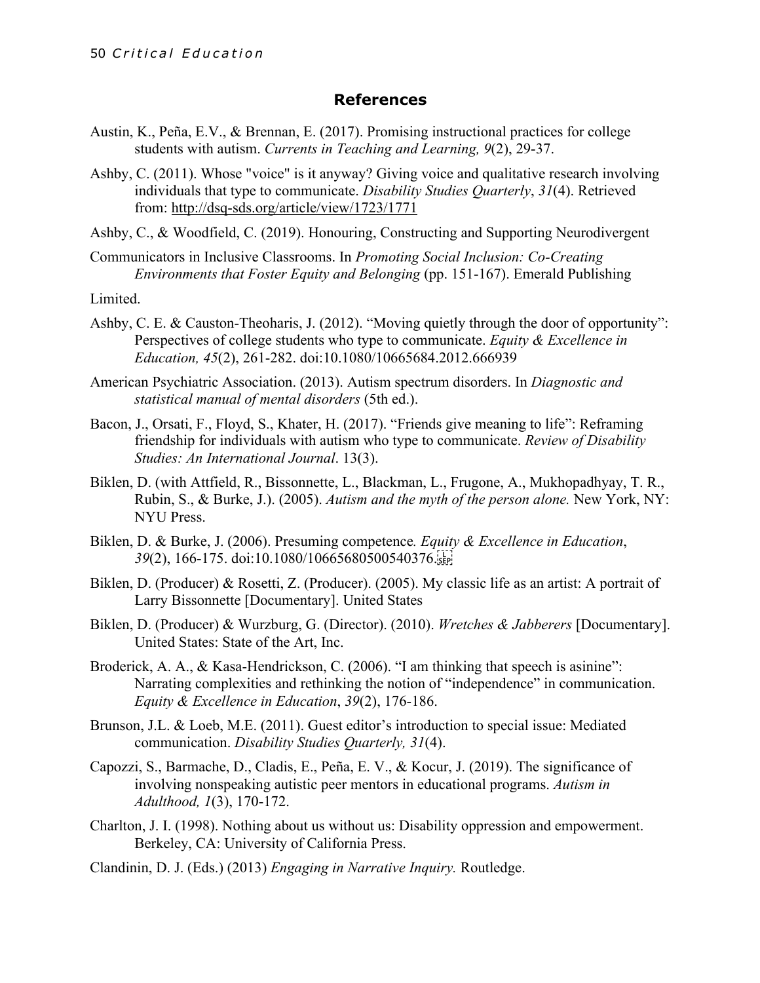#### **References**

- Austin, K., Peña, E.V., & Brennan, E. (2017). Promising instructional practices for college students with autism. *Currents in Teaching and Learning, 9*(2), 29-37.
- Ashby, C. (2011). Whose "voice" is it anyway? Giving voice and qualitative research involving individuals that type to communicate. *Disability Studies Quarterly*, *31*(4). Retrieved from: http://dsq-sds.org/article/view/1723/1771
- Ashby, C., & Woodfield, C. (2019). Honouring, Constructing and Supporting Neurodivergent
- Communicators in Inclusive Classrooms. In *Promoting Social Inclusion: Co-Creating Environments that Foster Equity and Belonging* (pp. 151-167). Emerald Publishing

Limited.

- Ashby, C. E. & Causton-Theoharis, J. (2012). "Moving quietly through the door of opportunity": Perspectives of college students who type to communicate. *Equity & Excellence in Education, 45*(2), 261-282. doi:10.1080/10665684.2012.666939
- American Psychiatric Association. (2013). Autism spectrum disorders. In *Diagnostic and statistical manual of mental disorders* (5th ed.).
- Bacon, J., Orsati, F., Floyd, S., Khater, H. (2017). "Friends give meaning to life": Reframing friendship for individuals with autism who type to communicate. *Review of Disability Studies: An International Journal*. 13(3).
- Biklen, D. (with Attfield, R., Bissonnette, L., Blackman, L., Frugone, A., Mukhopadhyay, T. R., Rubin, S., & Burke, J.). (2005). *Autism and the myth of the person alone.* New York, NY: NYU Press.
- Biklen, D. & Burke, J. (2006). Presuming competence*. Equity & Excellence in Education*, *39*(2), 166-175. doi:10.1080/10665680500540376.
- Biklen, D. (Producer) & Rosetti, Z. (Producer). (2005). My classic life as an artist: A portrait of Larry Bissonnette [Documentary]. United States
- Biklen, D. (Producer) & Wurzburg, G. (Director). (2010). *Wretches & Jabberers* [Documentary]. United States: State of the Art, Inc.
- Broderick, A. A., & Kasa-Hendrickson, C. (2006). "I am thinking that speech is asinine": Narrating complexities and rethinking the notion of "independence" in communication. *Equity & Excellence in Education*, *39*(2), 176-186.
- Brunson, J.L. & Loeb, M.E. (2011). Guest editor's introduction to special issue: Mediated communication. *Disability Studies Quarterly, 31*(4).
- Capozzi, S., Barmache, D., Cladis, E., Peña, E. V., & Kocur, J. (2019). The significance of involving nonspeaking autistic peer mentors in educational programs. *Autism in Adulthood, 1*(3), 170-172.
- Charlton, J. I. (1998). Nothing about us without us: Disability oppression and empowerment. Berkeley, CA: University of California Press.
- Clandinin, D. J. (Eds.) (2013) *Engaging in Narrative Inquiry.* Routledge.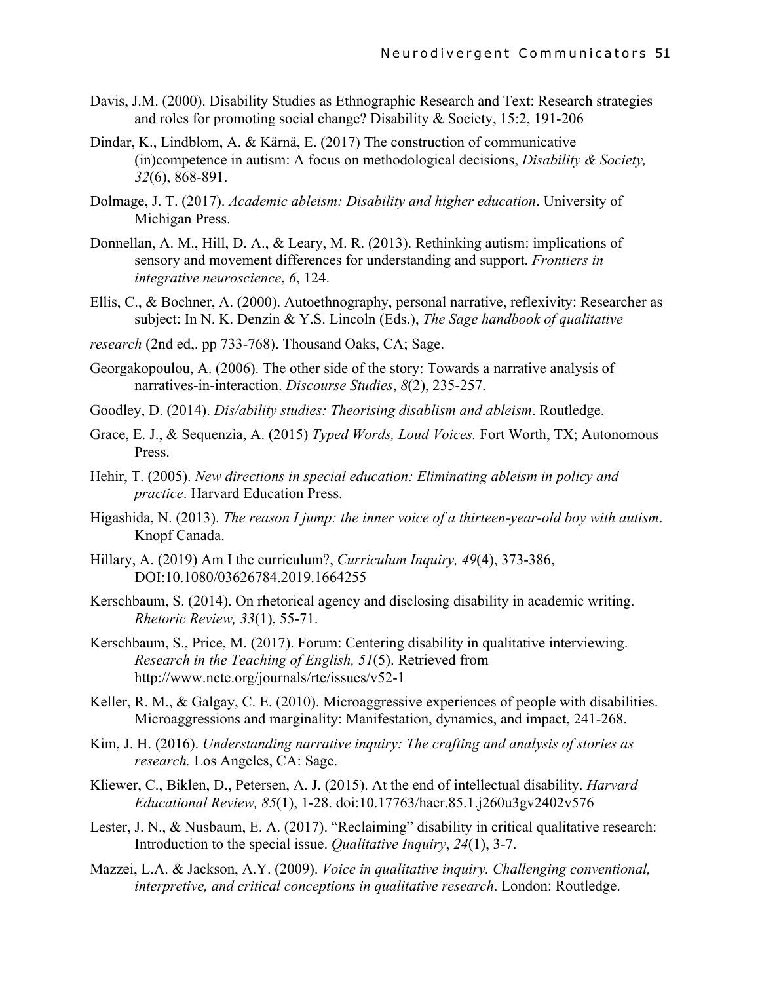- Davis, J.M. (2000). Disability Studies as Ethnographic Research and Text: Research strategies and roles for promoting social change? Disability & Society, 15:2, 191-206
- Dindar, K., Lindblom, A. & Kärnä, E. (2017) The construction of communicative (in)competence in autism: A focus on methodological decisions, *Disability & Society, 32*(6), 868-891.
- Dolmage, J. T. (2017). *Academic ableism: Disability and higher education*. University of Michigan Press.
- Donnellan, A. M., Hill, D. A., & Leary, M. R. (2013). Rethinking autism: implications of sensory and movement differences for understanding and support. *Frontiers in integrative neuroscience*, *6*, 124.
- Ellis, C., & Bochner, A. (2000). Autoethnography, personal narrative, reflexivity: Researcher as subject: In N. K. Denzin & Y.S. Lincoln (Eds.), *The Sage handbook of qualitative*
- *research* (2nd ed,. pp 733-768). Thousand Oaks, CA; Sage.
- Georgakopoulou, A. (2006). The other side of the story: Towards a narrative analysis of narratives-in-interaction. *Discourse Studies*, *8*(2), 235-257.
- Goodley, D. (2014). *Dis/ability studies: Theorising disablism and ableism*. Routledge.
- Grace, E. J., & Sequenzia, A. (2015) *Typed Words, Loud Voices.* Fort Worth, TX; Autonomous Press.
- Hehir, T. (2005). *New directions in special education: Eliminating ableism in policy and practice*. Harvard Education Press.
- Higashida, N. (2013). *The reason I jump: the inner voice of a thirteen-year-old boy with autism*. Knopf Canada.
- Hillary, A. (2019) Am I the curriculum?, *Curriculum Inquiry, 49*(4), 373-386, DOI:10.1080/03626784.2019.1664255
- Kerschbaum, S. (2014). On rhetorical agency and disclosing disability in academic writing. *Rhetoric Review, 33*(1), 55-71.
- Kerschbaum, S., Price, M. (2017). Forum: Centering disability in qualitative interviewing. *Research in the Teaching of English, 51*(5). Retrieved from http://www.ncte.org/journals/rte/issues/v52-1
- Keller, R. M., & Galgay, C. E. (2010). Microaggressive experiences of people with disabilities. Microaggressions and marginality: Manifestation, dynamics, and impact, 241-268.
- Kim, J. H. (2016). *Understanding narrative inquiry: The crafting and analysis of stories as research.* Los Angeles, CA: Sage.
- Kliewer, C., Biklen, D., Petersen, A. J. (2015). At the end of intellectual disability. *Harvard Educational Review, 85*(1), 1-28. doi:10.17763/haer.85.1.j260u3gv2402v576
- Lester, J. N., & Nusbaum, E. A. (2017). "Reclaiming" disability in critical qualitative research: Introduction to the special issue. *Qualitative Inquiry*, *24*(1), 3-7.
- Mazzei, L.A. & Jackson, A.Y. (2009). *Voice in qualitative inquiry. Challenging conventional, interpretive, and critical conceptions in qualitative research*. London: Routledge.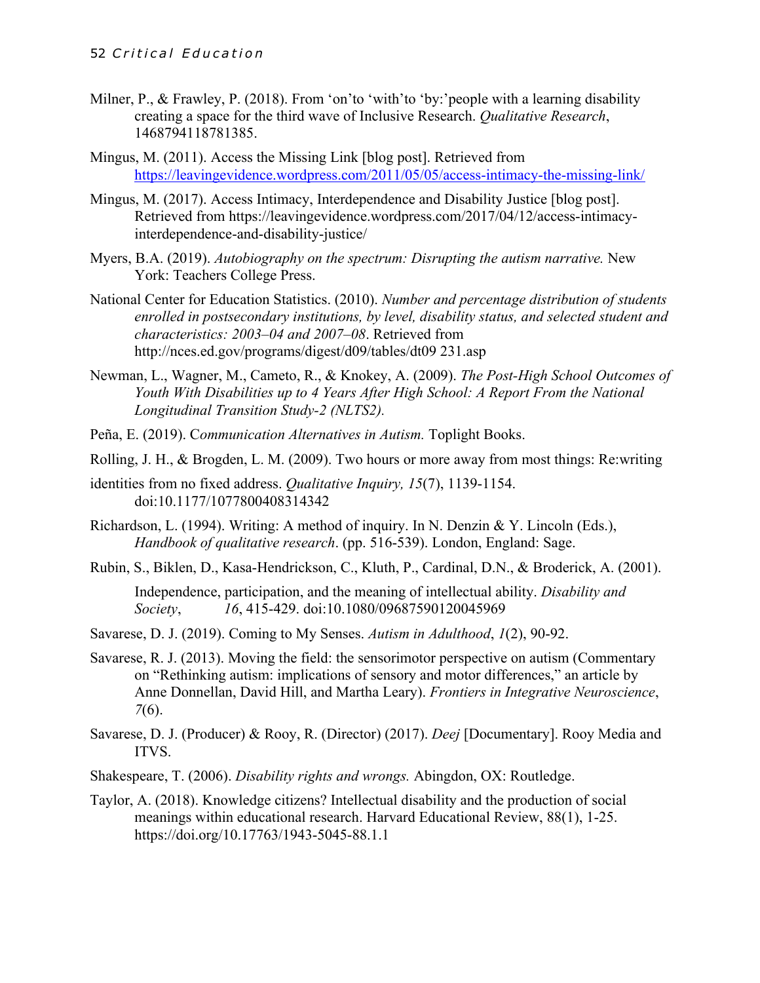- Milner, P., & Frawley, P. (2018). From 'on'to 'with'to 'by:'people with a learning disability creating a space for the third wave of Inclusive Research. *Qualitative Research*, 1468794118781385.
- Mingus, M. (2011). Access the Missing Link [blog post]. Retrieved from https://leavingevidence.wordpress.com/2011/05/05/access-intimacy-the-missing-link/
- Mingus, M. (2017). Access Intimacy, Interdependence and Disability Justice [blog post]. Retrieved from https://leavingevidence.wordpress.com/2017/04/12/access-intimacyinterdependence-and-disability-justice/
- Myers, B.A. (2019). *Autobiography on the spectrum: Disrupting the autism narrative.* New York: Teachers College Press.
- National Center for Education Statistics. (2010). *Number and percentage distribution of students enrolled in postsecondary institutions, by level, disability status, and selected student and characteristics: 2003–04 and 2007–08*. Retrieved from http://nces.ed.gov/programs/digest/d09/tables/dt09 231.asp
- Newman, L., Wagner, M., Cameto, R., & Knokey, A. (2009). *The Post-High School Outcomes of Youth With Disabilities up to 4 Years After High School: A Report From the National Longitudinal Transition Study-2 (NLTS2).*
- Peña, E. (2019). C*ommunication Alternatives in Autism.* Toplight Books.
- Rolling, J. H., & Brogden, L. M. (2009). Two hours or more away from most things: Re:writing
- identities from no fixed address. *Qualitative Inquiry, 15*(7), 1139-1154. doi:10.1177/1077800408314342
- Richardson, L. (1994). Writing: A method of inquiry. In N. Denzin & Y. Lincoln (Eds.), *Handbook of qualitative research*. (pp. 516-539). London, England: Sage.
- Rubin, S., Biklen, D., Kasa-Hendrickson, C., Kluth, P., Cardinal, D.N., & Broderick, A. (2001). Independence, participation, and the meaning of intellectual ability. *Disability and Society*, *16*, 415-429. doi:10.1080/09687590120045969
- Savarese, D. J. (2019). Coming to My Senses. *Autism in Adulthood*, *1*(2), 90-92.
- Savarese, R. J. (2013). Moving the field: the sensorimotor perspective on autism (Commentary on "Rethinking autism: implications of sensory and motor differences," an article by Anne Donnellan, David Hill, and Martha Leary). *Frontiers in Integrative Neuroscience*, *7*(6).
- Savarese, D. J. (Producer) & Rooy, R. (Director) (2017). *Deej* [Documentary]. Rooy Media and ITVS.
- Shakespeare, T. (2006). *Disability rights and wrongs.* Abingdon, OX: Routledge.
- Taylor, A. (2018). Knowledge citizens? Intellectual disability and the production of social meanings within educational research. Harvard Educational Review, 88(1), 1-25. https://doi.org/10.17763/1943-5045-88.1.1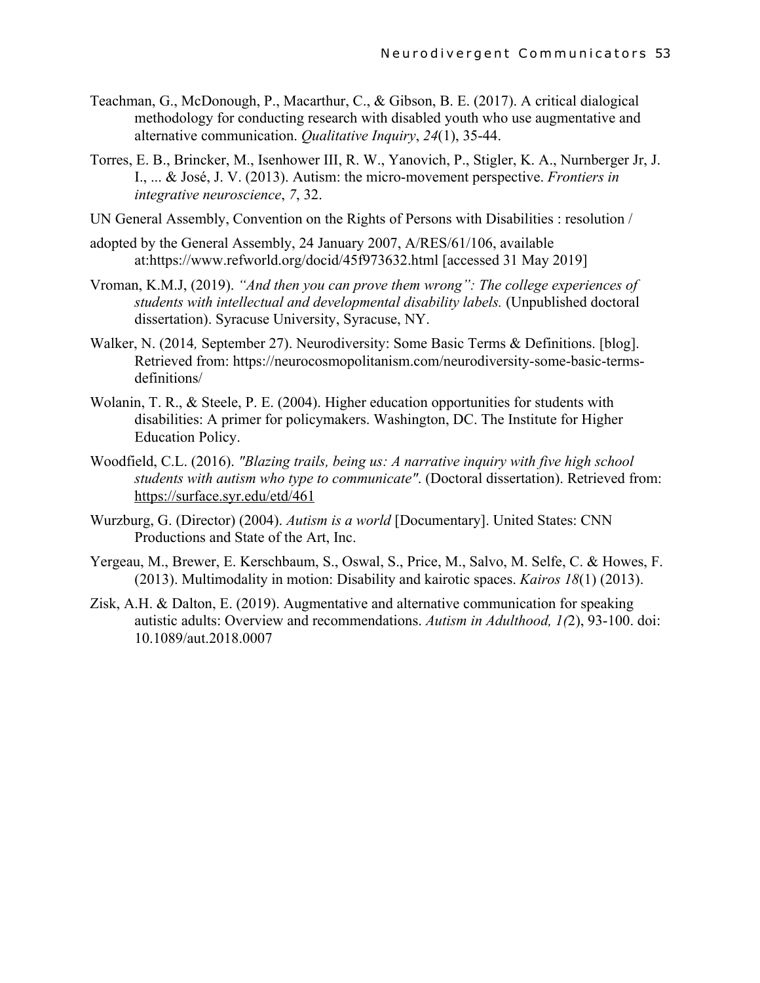- Teachman, G., McDonough, P., Macarthur, C., & Gibson, B. E. (2017). A critical dialogical methodology for conducting research with disabled youth who use augmentative and alternative communication. *Qualitative Inquiry*, *24*(1), 35-44.
- Torres, E. B., Brincker, M., Isenhower III, R. W., Yanovich, P., Stigler, K. A., Nurnberger Jr, J. I., ... & José, J. V. (2013). Autism: the micro-movement perspective. *Frontiers in integrative neuroscience*, *7*, 32.
- UN General Assembly, Convention on the Rights of Persons with Disabilities : resolution /
- adopted by the General Assembly, 24 January 2007, A/RES/61/106, available at:https://www.refworld.org/docid/45f973632.html [accessed 31 May 2019]
- Vroman, K.M.J, (2019). *"And then you can prove them wrong": The college experiences of students with intellectual and developmental disability labels.* (Unpublished doctoral dissertation). Syracuse University, Syracuse, NY.
- Walker, N. (2014*,* September 27). Neurodiversity: Some Basic Terms & Definitions. [blog]. Retrieved from: https://neurocosmopolitanism.com/neurodiversity-some-basic-termsdefinitions/
- Wolanin, T. R., & Steele, P. E. (2004). Higher education opportunities for students with disabilities: A primer for policymakers. Washington, DC. The Institute for Higher Education Policy.
- Woodfield, C.L. (2016). *"Blazing trails, being us: A narrative inquiry with five high school students with autism who type to communicate"*. (Doctoral dissertation). Retrieved from: https://surface.syr.edu/etd/461
- Wurzburg, G. (Director) (2004). *Autism is a world* [Documentary]. United States: CNN Productions and State of the Art, Inc.
- Yergeau, M., Brewer, E. Kerschbaum, S., Oswal, S., Price, M., Salvo, M. Selfe, C. & Howes, F. (2013). Multimodality in motion: Disability and kairotic spaces. *Kairos 18*(1) (2013).
- Zisk, A.H. & Dalton, E. (2019). Augmentative and alternative communication for speaking autistic adults: Overview and recommendations. *Autism in Adulthood, 1(*2), 93-100. doi: 10.1089/aut.2018.0007